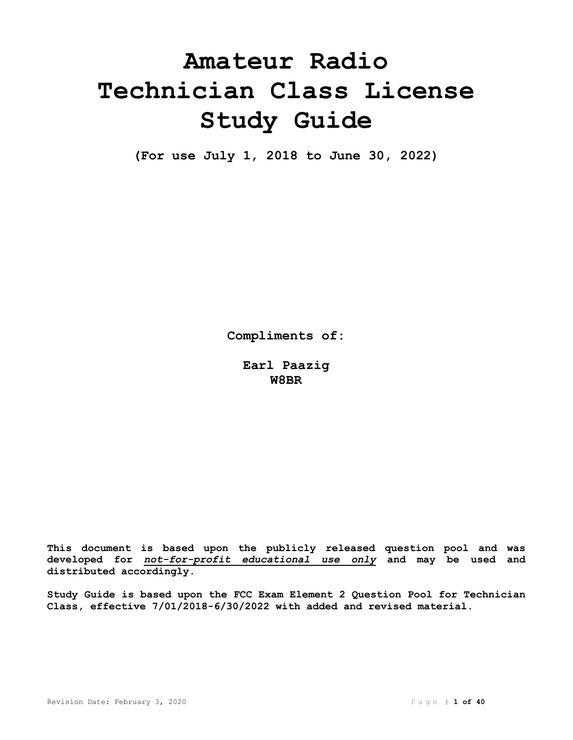# **Amateur Radio Technician Class License Study Guide**

**(For use July 1, 2018 to June 30, 2022)**

**Compliments of:**

**Earl Paazig W8BR**

**This document is based upon the publicly released question pool and was developed for** *not-for-profit educational use only* **and may be used and distributed accordingly.**

**Study Guide is based upon the FCC Exam Element 2 Question Pool for Technician Class, effective 7/01/2018-6/30/2022 with added and revised material.**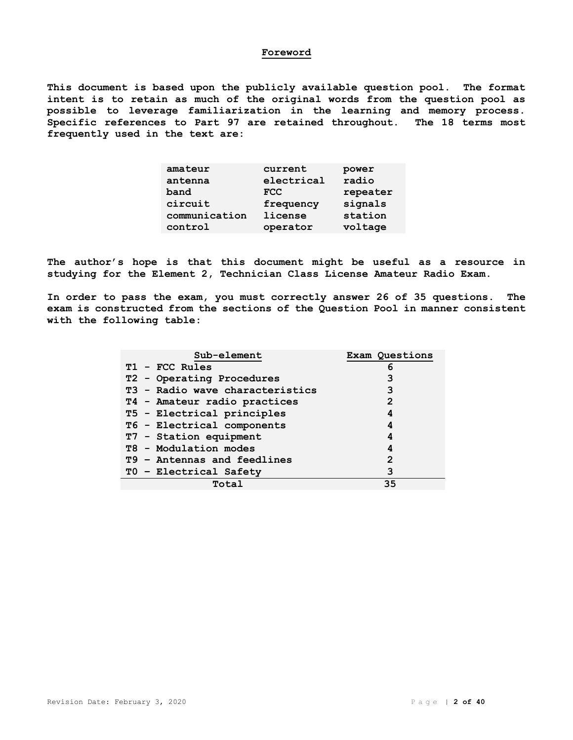#### **Foreword**

**This document is based upon the publicly available question pool. The format intent is to retain as much of the original words from the question pool as possible to leverage familiarization in the learning and memory process. Specific references to Part 97 are retained throughout. The 18 terms most frequently used in the text are:**

| amateur       | current    | power    |
|---------------|------------|----------|
| antenna       | electrical | radio    |
| band          | <b>FCC</b> | repeater |
| circuit       | frequency  | signals  |
| communication | license    | station  |
| control       | operator   | voltage  |

**The author's hope is that this document might be useful as a resource in studying for the Element 2, Technician Class License Amateur Radio Exam.**

**In order to pass the exam, you must correctly answer 26 of 35 questions. The exam is constructed from the sections of the Question Pool in manner consistent with the following table:**

| Sub-element                     | Exam Questions |
|---------------------------------|----------------|
| T1 - FCC Rules                  | 6              |
| T2 - Operating Procedures       | 3              |
| T3 - Radio wave characteristics | 3              |
| T4 - Amateur radio practices    | 2              |
| T5 - Electrical principles      | 4              |
| T6 - Electrical components      | 4              |
| T7 - Station equipment          | 4              |
| T8 - Modulation modes           | 4              |
| T9 - Antennas and feedlines     | 2              |
| TO - Electrical Safety          | 3              |
| Total                           | 35             |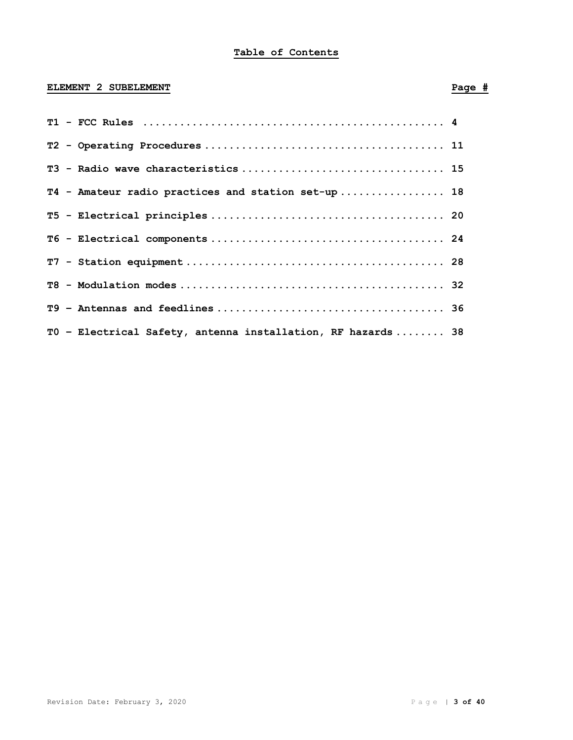# **Table of Contents**

# **ELEMENT 2 SUBELEMENT Page #**

| T4 - Amateur radio practices and station set-up 18          |  |
|-------------------------------------------------------------|--|
|                                                             |  |
|                                                             |  |
|                                                             |  |
|                                                             |  |
|                                                             |  |
| TO - Electrical Safety, antenna installation, RF hazards 38 |  |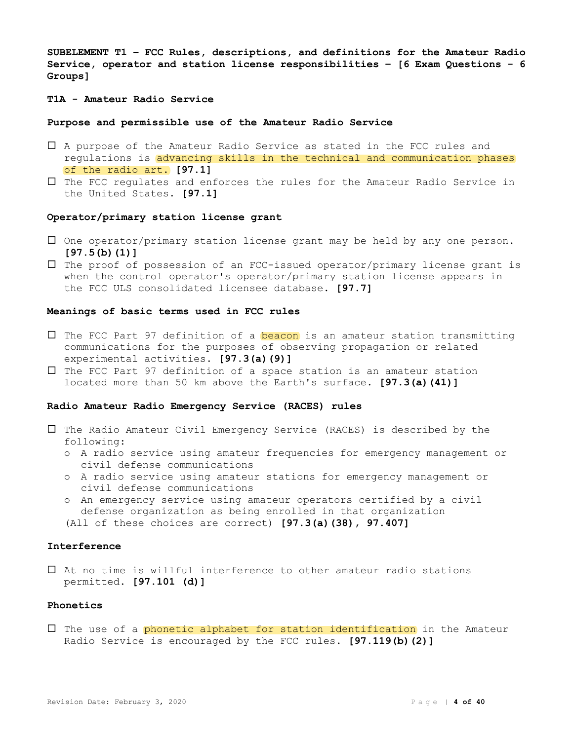**SUBELEMENT T1 – FCC Rules, descriptions, and definitions for the Amateur Radio Service, operator and station license responsibilities – [6 Exam Questions - 6 Groups]**

# **T1A - Amateur Radio Service**

#### **Purpose and permissible use of the Amateur Radio Service**

- A purpose of the Amateur Radio Service as stated in the FCC rules and regulations is advancing skills in the technical and communication phases of the radio art. **[97.1]**
- The FCC regulates and enforces the rules for the Amateur Radio Service in the United States. **[97.1]**

#### **Operator/primary station license grant**

- $\square$  One operator/primary station license grant may be held by any one person. **[97.5(b)(1)]**
- $\Box$  The proof of possession of an FCC-issued operator/primary license grant is when the control operator's operator/primary station license appears in the FCC ULS consolidated licensee database. **[97.7]**

#### **Meanings of basic terms used in FCC rules**

- $\square$  The FCC Part 97 definition of a **beacon** is an amateur station transmitting communications for the purposes of observing propagation or related experimental activities. **[97.3(a)(9)]**
- $\square$  The FCC Part 97 definition of a space station is an amateur station located more than 50 km above the Earth's surface. **[97.3(a)(41)]**

# **Radio Amateur Radio Emergency Service (RACES) rules**

- $\square$  The Radio Amateur Civil Emergency Service (RACES) is described by the following:
	- o A radio service using amateur frequencies for emergency management or civil defense communications
	- o A radio service using amateur stations for emergency management or civil defense communications
	- o An emergency service using amateur operators certified by a civil defense organization as being enrolled in that organization

(All of these choices are correct) **[97.3(a)(38), 97.407]**

# **Interference**

 At no time is willful interference to other amateur radio stations permitted. **[97.101 (d)]**

#### **Phonetics**

 $\Box$  The use of a phonetic alphabet for station identification in the Amateur Radio Service is encouraged by the FCC rules. **[97.119(b)(2)]**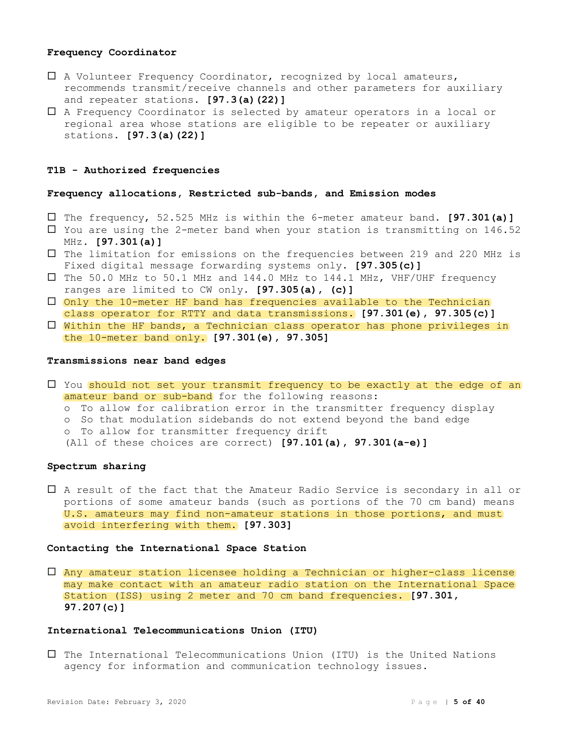# **Frequency Coordinator**

- A Volunteer Frequency Coordinator, recognized by local amateurs, recommends transmit/receive channels and other parameters for auxiliary and repeater stations. **[97.3(a)(22)]**
- A Frequency Coordinator is selected by amateur operators in a local or regional area whose stations are eligible to be repeater or auxiliary stations. **[97.3(a)(22)]**

#### **T1B - Authorized frequencies**

#### **Frequency allocations, Restricted sub-bands, and Emission modes**

- The frequency, 52.525 MHz is within the 6-meter amateur band. **[97.301(a)]**
- $\Box$  You are using the 2-meter band when your station is transmitting on 146.52 MHz. **[97.301(a)]**
- The limitation for emissions on the frequencies between 219 and 220 MHz is Fixed digital message forwarding systems only. **[97.305(c)]**
- The 50.0 MHz to 50.1 MHz and 144.0 MHz to 144.1 MHz, VHF/UHF frequency ranges are limited to CW only. **[97.305(a), (c)]**
- $\Box$  Only the 10-meter HF band has frequencies available to the Technician class operator for RTTY and data transmissions. **[97.301(e), 97.305(c)]**
- $\square$  Within the HF bands, a Technician class operator has phone privileges in the 10-meter band only. **[97.301(e), 97.305]**

# **Transmissions near band edges**

- $\Box$  You should not set your transmit frequency to be exactly at the edge of an amateur band or sub-band for the following reasons:
	- o To allow for calibration error in the transmitter frequency display
	- o So that modulation sidebands do not extend beyond the band edge
	- o To allow for transmitter frequency drift
	- (All of these choices are correct) **[97.101(a), 97.301(a-e)]**

# **Spectrum sharing**

 A result of the fact that the Amateur Radio Service is secondary in all or portions of some amateur bands (such as portions of the 70 cm band) means U.S. amateurs may find non-amateur stations in those portions, and must avoid interfering with them. **[97.303]**

# **Contacting the International Space Station**

 Any amateur station licensee holding a Technician or higher-class license may make contact with an amateur radio station on the International Space Station (ISS) using 2 meter and 70 cm band frequencies. **[97.301, 97.207(c)]**

#### **International Telecommunications Union (ITU)**

 $\square$  The International Telecommunications Union (ITU) is the United Nations agency for information and communication technology issues.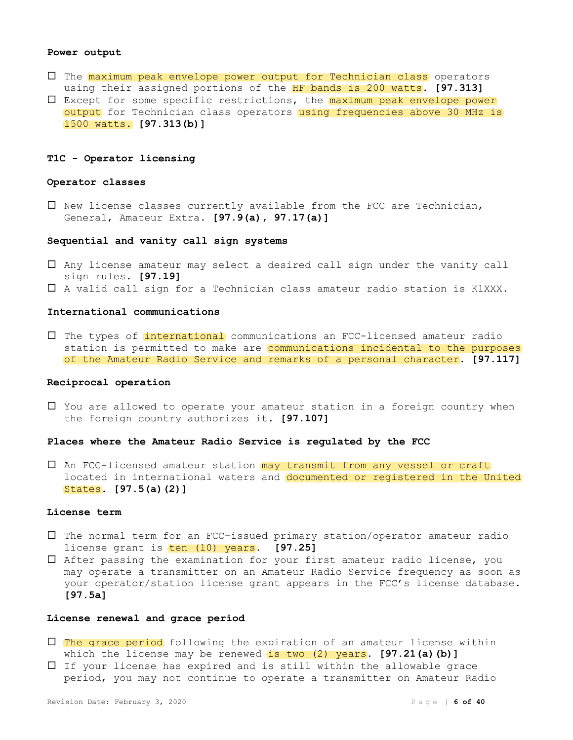#### **Power output**

- The maximum peak envelope power output for Technician class operators using their assigned portions of the HF bands is 200 watts. **[97.313]**
- $\square$  Except for some specific restrictions, the  $maximum$  peak envelope power output for Technician class operators using frequencies above 30 MHz is 1500 watts. **[97.313(b)]**

# **T1C - Operator licensing**

#### **Operator classes**

 $\square$  New license classes currently available from the FCC are Technician, General, Amateur Extra. **[97.9(a), 97.17(a)]**

#### **Sequential and vanity call sign systems**

- Any license amateur may select a desired call sign under the vanity call sign rules. **[97.19]**
- A valid call sign for a Technician class amateur radio station is K1XXX.

#### **International communications**

 The types of international communications an FCC-licensed amateur radio station is permitted to make are communications incidental to the purposes of the Amateur Radio Service and remarks of a personal character. **[97.117]**

#### **Reciprocal operation**

 $\Box$  You are allowed to operate your amateur station in a foreign country when the foreign country authorizes it. **[97.107]**

#### **Places where the Amateur Radio Service is regulated by the FCC**

 $\Box$  An FCC-licensed amateur station may transmit from any vessel or craft located in international waters and documented or registered in the United States. **[97.5(a)(2)]**

#### **License term**

- The normal term for an FCC-issued primary station/operator amateur radio license grant is ten (10) years. [97.25]
- After passing the examination for your first amateur radio license, you may operate a transmitter on an Amateur Radio Service frequency as soon as your operator/station license grant appears in the FCC's license database. **[97.5a]**

#### **License renewal and grace period**

- $\square$  The grace period following the expiration of an amateur license within which the license may be renewed is two (2) years. **[97.21(a)(b)]**
- $\Box$  If your license has expired and is still within the allowable grace period, you may not continue to operate a transmitter on Amateur Radio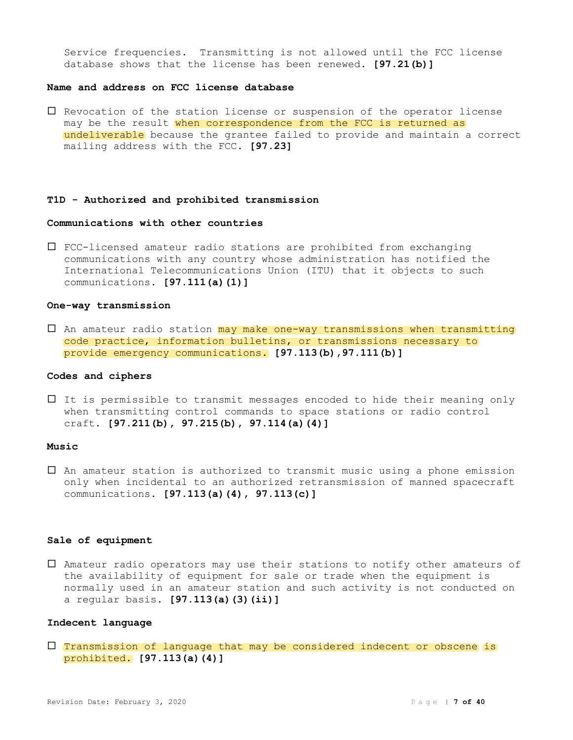Service frequencies. Transmitting is not allowed until the FCC license database shows that the license has been renewed. **[97.21(b)]**

# **Name and address on FCC license database**

 $\Box$  Revocation of the station license or suspension of the operator license may be the result when correspondence from the FCC is returned as undeliverable because the grantee failed to provide and maintain a correct mailing address with the FCC. **[97.23]**

# **T1D - Authorized and prohibited transmission**

# **Communications with other countries**

 FCC-licensed amateur radio stations are prohibited from exchanging communications with any country whose administration has notified the International Telecommunications Union (ITU) that it objects to such communications. **[97.111(a)(1)]**

#### **One-way transmission**

 $\Box$  An amateur radio station may make one-way transmissions when transmitting code practice, information bulletins, or transmissions necessary to provide emergency communications. **[97.113(b),97.111(b)]**

#### **Codes and ciphers**

 $\Box$  It is permissible to transmit messages encoded to hide their meaning only when transmitting control commands to space stations or radio control craft. **[97.211(b), 97.215(b), 97.114(a)(4)]**

# **Music**

 $\square$  An amateur station is authorized to transmit music using a phone emission only when incidental to an authorized retransmission of manned spacecraft communications. **[97.113(a)(4), 97.113(c)]**

#### **Sale of equipment**

 Amateur radio operators may use their stations to notify other amateurs of the availability of equipment for sale or trade when the equipment is normally used in an amateur station and such activity is not conducted on a regular basis. **[97.113(a)(3)(ii)]**

#### **Indecent language**

 $\Box$  Transmission of language that may be considered indecent or obscene is prohibited. **[97.113(a)(4)]**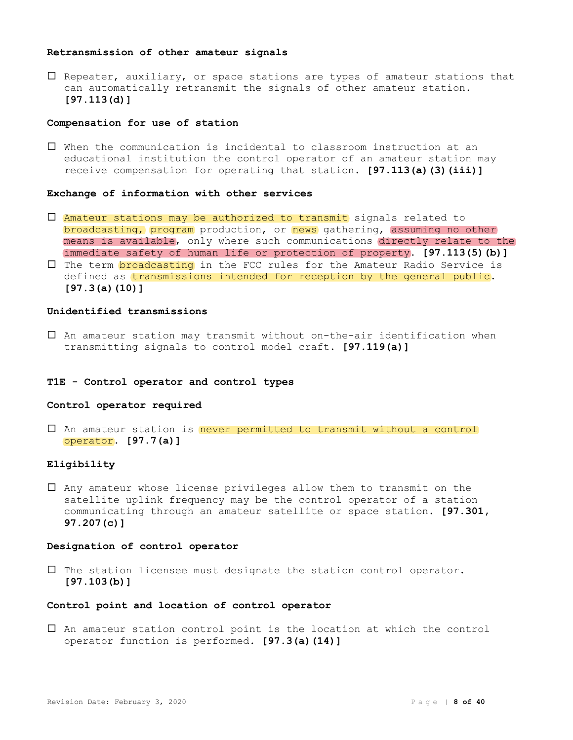# **Retransmission of other amateur signals**

 $\square$  Repeater, auxiliary, or space stations are types of amateur stations that can automatically retransmit the signals of other amateur station. **[97.113(d)]**

#### **Compensation for use of station**

 When the communication is incidental to classroom instruction at an educational institution the control operator of an amateur station may receive compensation for operating that station. **[97.113(a)(3)(iii)]**

#### **Exchange of information with other services**

- $\square$  Amateur stations may be authorized to transmit signals related to broadcasting, program production, or news gathering, assuming no other means is available, only where such communications directly relate to the immediate safety of human life or protection of property. **[97.113(5)(b)]**
- $\Box$  The term broadcasting in the FCC rules for the Amateur Radio Service is defined as transmissions intended for reception by the general public. **[97.3(a)(10)]**

#### **Unidentified transmissions**

 An amateur station may transmit without on-the-air identification when transmitting signals to control model craft. **[97.119(a)]**

#### **T1E - Control operator and control types**

# **Control operator required**

 $\Box$  An amateur station is never permitted to transmit without a control operator. **[97.7(a)]**

# **Eligibility**

 $\Box$  Any amateur whose license privileges allow them to transmit on the satellite uplink frequency may be the control operator of a station communicating through an amateur satellite or space station. **[97.301, 97.207(c)]**

# **Designation of control operator**

 $\Box$  The station licensee must designate the station control operator. **[97.103(b)]**

# **Control point and location of control operator**

 An amateur station control point is the location at which the control operator function is performed. **[97.3(a)(14)]**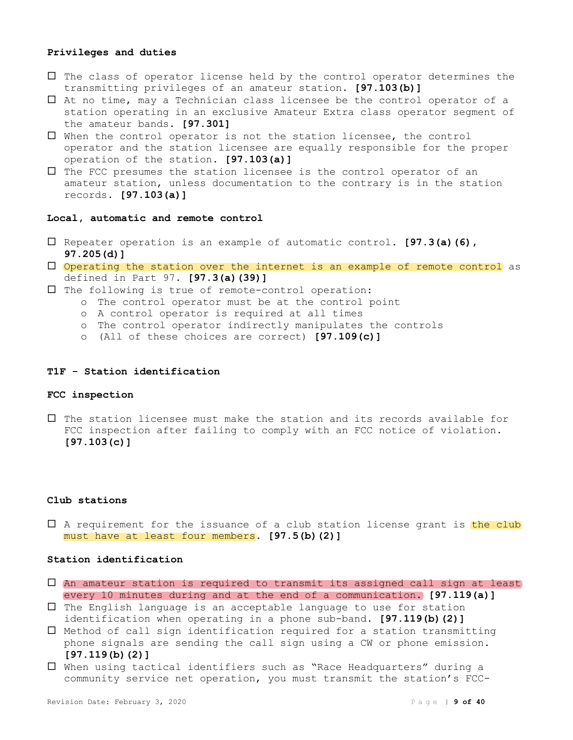#### **Privileges and duties**

- $\Box$  The class of operator license held by the control operator determines the transmitting privileges of an amateur station. **[97.103(b)]**
- At no time, may a Technician class licensee be the control operator of a station operating in an exclusive Amateur Extra class operator segment of the amateur bands. **[97.301]**
- When the control operator is not the station licensee, the control operator and the station licensee are equally responsible for the proper operation of the station. **[97.103(a)]**
- $\Box$  The FCC presumes the station licensee is the control operator of an amateur station, unless documentation to the contrary is in the station records. **[97.103(a)]**

#### **Local, automatic and remote control**

- Repeater operation is an example of automatic control. **[97.3(a)(6), 97.205(d)]**
- Operating the station over the internet is an example of remote control as defined in Part 97. **[97.3(a)(39)]**
- $\Box$  The following is true of remote-control operation:
	- o The control operator must be at the control point
	- o A control operator is required at all times
	- o The control operator indirectly manipulates the controls
	- o (All of these choices are correct) **[97.109(c)]**

#### **T1F - Station identification**

# **FCC inspection**

 $\Box$  The station licensee must make the station and its records available for FCC inspection after failing to comply with an FCC notice of violation. **[97.103(c)]**

#### **Club stations**

 $\Box$  A requirement for the issuance of a club station license grant is the club must have at least four members. **[97.5(b)(2)]**

# **Station identification**

- An amateur station is required to transmit its assigned call sign at least every 10 minutes during and at the end of a communication. **[97.119(a)]**
- $\square$  The English language is an acceptable language to use for station identification when operating in a phone sub-band. **[97.119(b)(2)]**
- $\square$  Method of call sign identification required for a station transmitting phone signals are sending the call sign using a CW or phone emission. **[97.119(b)(2)]**
- When using tactical identifiers such as "Race Headquarters" during a community service net operation, you must transmit the station's FCC-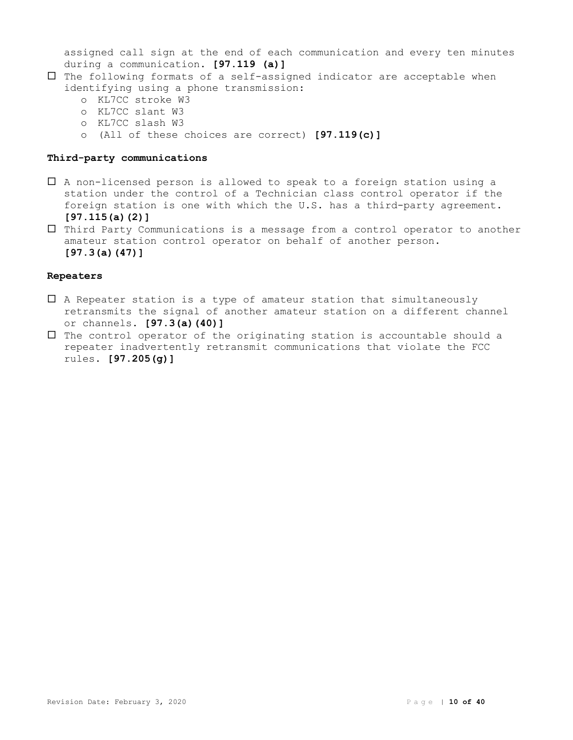assigned call sign at the end of each communication and every ten minutes during a communication. **[97.119 (a)]**

- $\Box$  The following formats of a self-assigned indicator are acceptable when identifying using a phone transmission:
	- o KL7CC stroke W3
	- o KL7CC slant W3
	- o KL7CC slash W3
	- o (All of these choices are correct) **[97.119(c)]**

# **Third-party communications**

- $\Box$  A non-licensed person is allowed to speak to a foreign station using a station under the control of a Technician class control operator if the foreign station is one with which the U.S. has a third-party agreement. **[97.115(a)(2)]**
- Third Party Communications is a message from a control operator to another amateur station control operator on behalf of another person. **[97.3(a)(47)]**

# **Repeaters**

- $\Box$  A Repeater station is a type of amateur station that simultaneously retransmits the signal of another amateur station on a different channel or channels. **[97.3(a)(40)]**
- $\Box$  The control operator of the originating station is accountable should a repeater inadvertently retransmit communications that violate the FCC rules. **[97.205(g)]**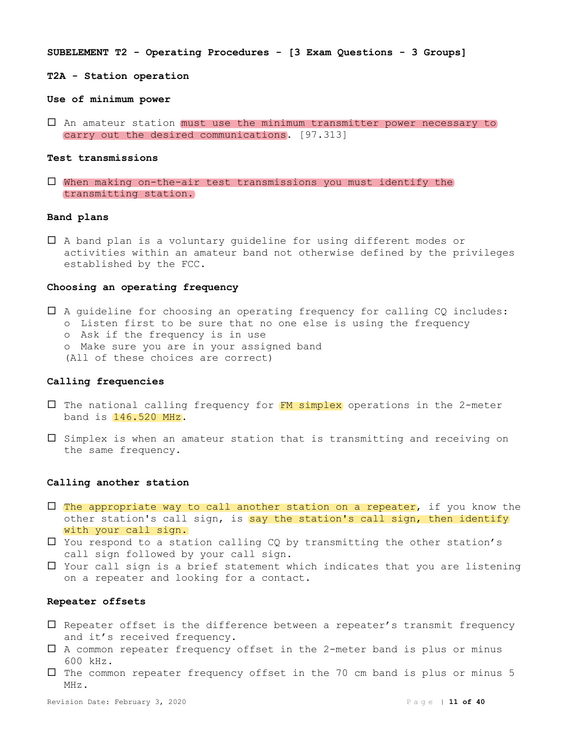**SUBELEMENT T2 - Operating Procedures - [3 Exam Questions - 3 Groups]**

**T2A - Station operation**

#### **Use of minimum power**

 $\square$  An [amateur station](https://www.law.cornell.edu/cfr/text/47/97.313) must use the minimum transmitter power necessary to carry out the desired communications. [97.313]

#### **Test transmissions**

 When making on-the-air test transmissions you must identify the transmitting station.

#### **Band plans**

 A band plan is a voluntary guideline for using different modes or activities within an amateur band not otherwise defined by the privileges established by the FCC.

# **Choosing an operating frequency**

- A guideline for choosing an operating frequency for calling CQ includes:
	- o Listen first to be sure that no one else is using the frequency
	- o Ask if the frequency is in use
	- o Make sure you are in your assigned band
	- (All of these choices are correct)

#### **Calling frequencies**

- $\square$  The national calling frequency for  $FN$  simplex operations in the 2-meter band is 146.520 MHz.
- $\square$  Simplex is when an amateur station that is transmitting and receiving on the same frequency.

#### **Calling another station**

- $\Box$  The appropriate way to call another station on a repeater, if you know the other station's call sign, is say the station's call sign, then identify with your call sign.
- $\Box$  You respond to a station calling CQ by transmitting the other station's call sign followed by your call sign.
- $\Box$  Your call sign is a brief statement which indicates that you are listening on a repeater and looking for a contact.

#### **Repeater offsets**

- $\square$  Repeater offset is the difference between a repeater's transmit frequency and it's received frequency.
- $\Box$  A common repeater frequency offset in the 2-meter band is plus or minus 600 kHz.
- $\square$  The common repeater frequency offset in the 70 cm band is plus or minus 5 MHz.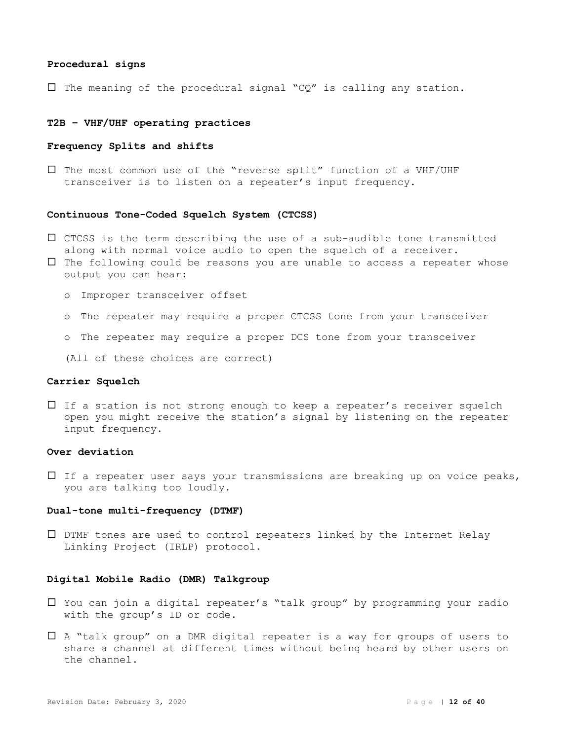#### **Procedural signs**

 $\Box$  The meaning of the procedural signal "CQ" is calling any station.

# **T2B – VHF/UHF operating practices**

# **Frequency Splits and shifts**

 The most common use of the "reverse split" function of a VHF/UHF transceiver is to listen on a repeater's input frequency.

# **Continuous Tone-Coded Squelch System (CTCSS)**

- $\square$  CTCSS is the term describing the use of a sub-audible tone transmitted along with normal voice audio to open the squelch of a receiver.
- $\Box$  The following could be reasons you are unable to access a repeater whose output you can hear:
	- o Improper transceiver offset
	- o The repeater may require a proper CTCSS tone from your transceiver
	- o The repeater may require a proper DCS tone from your transceiver

(All of these choices are correct)

#### **Carrier Squelch**

 $\Box$  If a station is not strong enough to keep a repeater's receiver squelch open you might receive the station's signal by listening on the repeater input frequency.

# **Over deviation**

 $\Box$  If a repeater user says your transmissions are breaking up on voice peaks, you are talking too loudly.

#### **Dual-tone multi-frequency (DTMF)**

 DTMF tones are used to control repeaters linked by the Internet Relay Linking Project (IRLP) protocol.

# **Digital Mobile Radio (DMR) Talkgroup**

- You can join a digital repeater's "talk group" by programming your radio with the group's ID or code.
- A "talk group" on a DMR digital repeater is a way for groups of users to share a channel at different times without being heard by other users on the channel.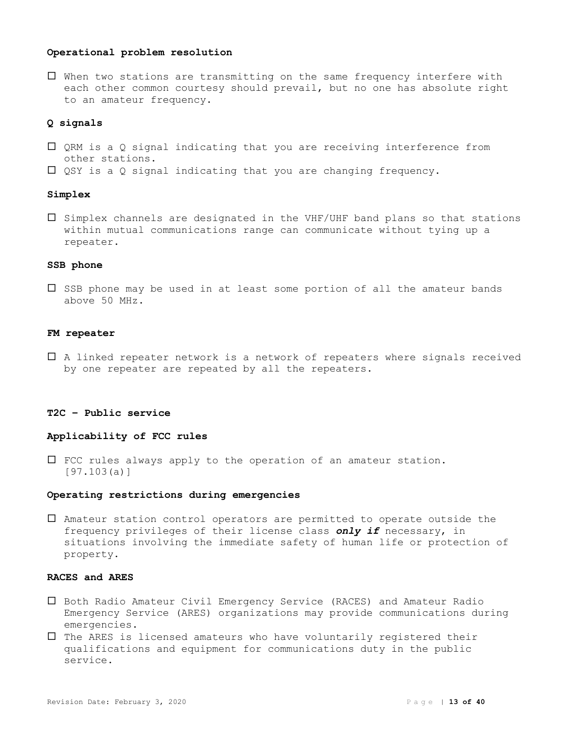# **Operational problem resolution**

 When two stations are transmitting on the same frequency interfere with each other common courtesy should prevail, but no one has absolute right to an amateur frequency.

# **Q signals**

- $\square$  QRM is a Q signal indicating that you are receiving interference from other stations.
- $\square$  QSY is a Q signal indicating that you are changing frequency.

#### **Simplex**

 $\square$  Simplex channels are designated in the VHF/UHF band plans so that stations within mutual communications range can communicate without tying up a repeater.

#### **SSB phone**

 $\square$  SSB phone may be used in at least some portion of all the amateur bands above 50 MHz.

# **FM repeater**

 A linked repeater network is a network of repeaters where signals received by one repeater are repeated by all the repeaters.

# **T2C – Public service**

# **Applicability of FCC rules**

 FCC rules always apply to the operation of an amateur station. [97.103(a)]

#### **Operating restrictions during emergencies**

 Amateur station control operators are permitted to operate outside the frequency privileges of their license class *only if* necessary, in situations involving the immediate safety of human life or protection of property.

# **RACES and ARES**

- Both Radio Amateur Civil Emergency Service (RACES) and Amateur Radio Emergency Service (ARES) organizations may provide communications during emergencies.
- $\Box$  The ARES is licensed amateurs who have voluntarily registered their qualifications and equipment for communications duty in the public service.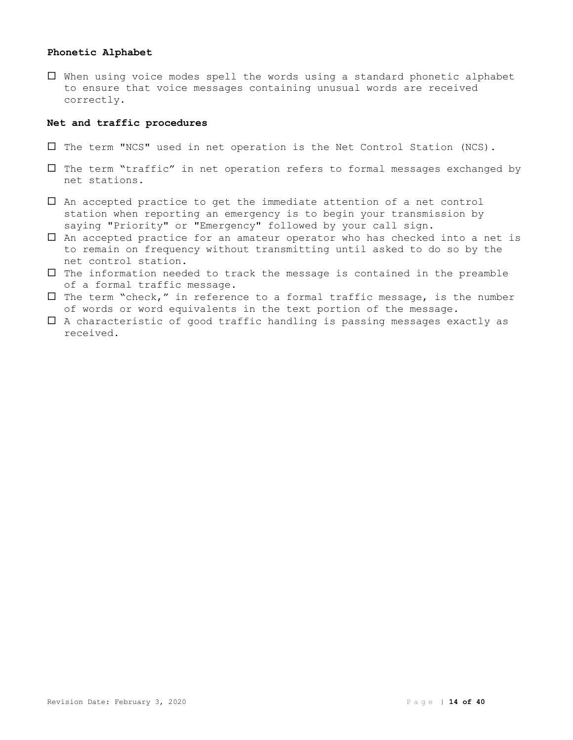# **Phonetic Alphabet**

 When using voice modes spell the words using a standard phonetic alphabet to ensure that voice messages containing unusual words are received correctly.

# **Net and traffic procedures**

- $\square$  The term "NCS" used in net operation is the Net Control Station (NCS).
- $\square$  The term "traffic" in net operation refers to formal messages exchanged by net stations.
- An accepted practice to get the immediate attention of a net control station when reporting an emergency is to begin your transmission by saying "Priority" or "Emergency" followed by your call sign.
- An accepted practice for an amateur operator who has checked into a net is to remain on frequency without transmitting until asked to do so by the net control station.
- $\Box$  The information needed to track the message is contained in the preamble of a formal traffic message.
- $\square$  The term "check," in reference to a formal traffic message, is the number of words or word equivalents in the text portion of the message.
- $\Box$  A characteristic of good traffic handling is passing messages exactly as received.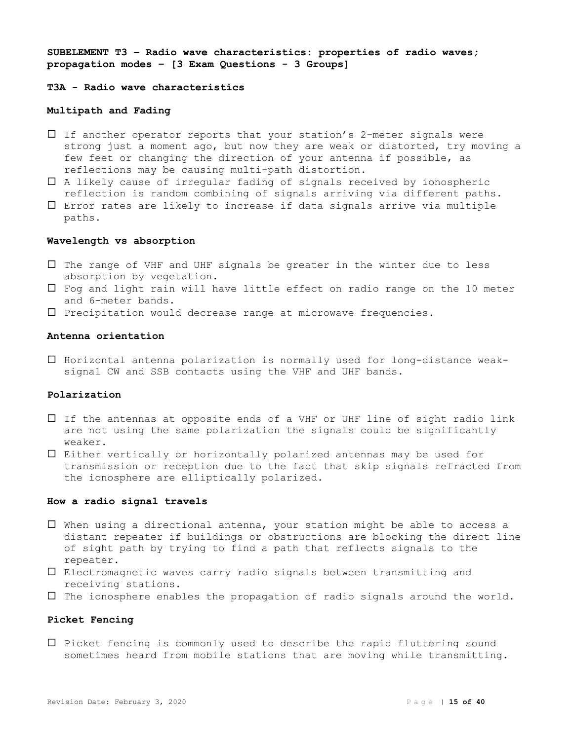**SUBELEMENT T3 – Radio wave characteristics: properties of radio waves; propagation modes – [3 Exam Questions - 3 Groups]**

# **T3A - Radio wave characteristics**

# **Multipath and Fading**

- $\Box$  If another operator reports that your station's 2-meter signals were strong just a moment ago, but now they are weak or distorted, try moving a few feet or changing the direction of your antenna if possible, as reflections may be causing multi-path distortion.
- A likely cause of irregular fading of signals received by ionospheric reflection is random combining of signals arriving via different paths.
- $\Box$  Error rates are likely to increase if data signals arrive via multiple paths.

# **Wavelength vs absorption**

- $\Box$  The range of VHF and UHF signals be greater in the winter due to less absorption by vegetation.
- $\Box$  Fog and light rain will have little effect on radio range on the 10 meter and 6-meter bands.
- $\square$  Precipitation would decrease range at microwave frequencies.

# **Antenna orientation**

 $\Box$  Horizontal antenna polarization is normally used for long-distance weaksignal CW and SSB contacts using the VHF and UHF bands.

# **Polarization**

- If the antennas at opposite ends of a VHF or UHF line of sight radio link are not using the same polarization the signals could be significantly weaker.
- Either vertically or horizontally polarized antennas may be used for transmission or reception due to the fact that skip signals refracted from the ionosphere are elliptically polarized.

# **How a radio signal travels**

- When using a directional antenna, your station might be able to access a distant repeater if buildings or obstructions are blocking the direct line of sight path by trying to find a path that reflects signals to the repeater.
- Electromagnetic waves carry radio signals between transmitting and receiving stations.
- $\Box$  The ionosphere enables the propagation of radio signals around the world.

# **Picket Fencing**

 $\square$  Picket fencing is commonly used to describe the rapid fluttering sound sometimes heard from mobile stations that are moving while transmitting.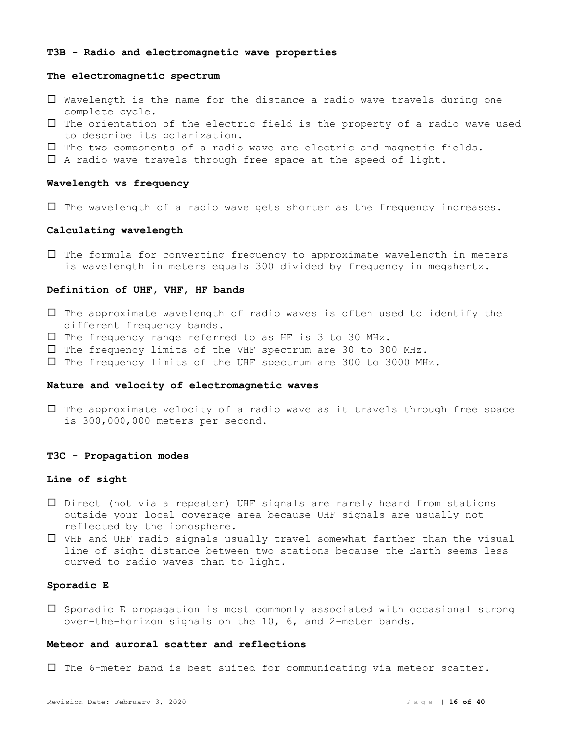#### **T3B - Radio and electromagnetic wave properties**

#### **The electromagnetic spectrum**

- Wavelength is the name for the distance a radio wave travels during one complete cycle.
- $\Box$  The orientation of the electric field is the property of a radio wave used to describe its polarization.
- $\Box$  The two components of a radio wave are electric and magnetic fields.
- $\Box$  A radio wave travels through free space at the speed of light.

#### **Wavelength vs frequency**

 $\Box$  The wavelength of a radio wave gets shorter as the frequency increases.

# **Calculating wavelength**

 $\Box$  The formula for converting frequency to approximate wavelength in meters is wavelength in meters equals 300 divided by frequency in megahertz.

#### **Definition of UHF, VHF, HF bands**

- $\Box$  The approximate wavelength of radio waves is often used to identify the different frequency bands.
- $\square$  The frequency range referred to as HF is 3 to 30 MHz.
- $\square$  The frequency limits of the VHF spectrum are 30 to 300 MHz.
- $\square$  The frequency limits of the UHF spectrum are 300 to 3000 MHz.

# **Nature and velocity of electromagnetic waves**

 $\Box$  The approximate velocity of a radio wave as it travels through free space is 300,000,000 meters per second.

#### **T3C - Propagation modes**

#### **Line of sight**

- Direct (not via a repeater) UHF signals are rarely heard from stations outside your local coverage area because UHF signals are usually not reflected by the ionosphere.
- VHF and UHF radio signals usually travel somewhat farther than the visual line of sight distance between two stations because the Earth seems less curved to radio waves than to light.

# **Sporadic E**

 $\square$  Sporadic E propagation is most commonly associated with occasional strong over-the-horizon signals on the 10, 6, and 2-meter bands.

#### **Meteor and auroral scatter and reflections**

 $\Box$  The 6-meter band is best suited for communicating via meteor scatter.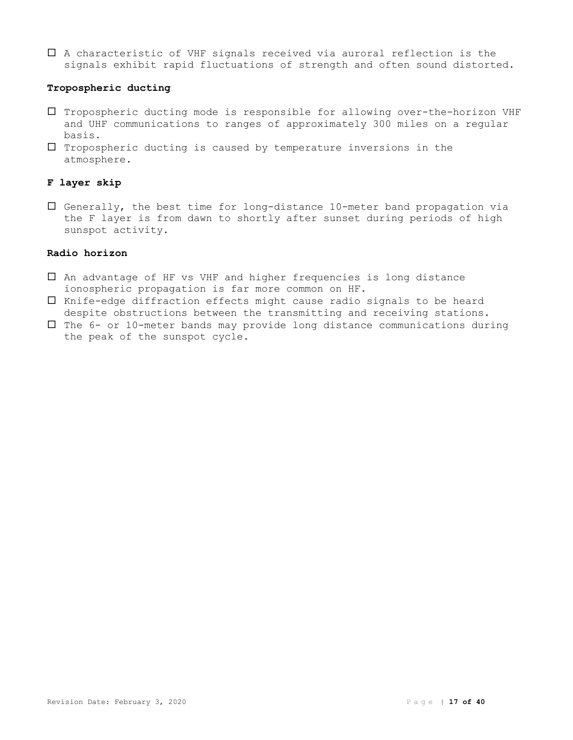A characteristic of VHF signals received via auroral reflection is the signals exhibit rapid fluctuations of strength and often sound distorted.

# **Tropospheric ducting**

- Tropospheric ducting mode is responsible for allowing over-the-horizon VHF and UHF communications to ranges of approximately 300 miles on a regular basis.
- $\Box$  Tropospheric ducting is caused by temperature inversions in the atmosphere.

# **F layer skip**

 Generally, the best time for long-distance 10-meter band propagation via the F layer is from dawn to shortly after sunset during periods of high sunspot activity.

# **Radio horizon**

- An advantage of HF vs VHF and higher frequencies is long distance ionospheric propagation is far more common on HF.
- $\Box$  Knife-edge diffraction effects might cause radio signals to be heard despite obstructions between the transmitting and receiving stations.
- $\Box$  The 6- or 10-meter bands may provide long distance communications during the peak of the sunspot cycle.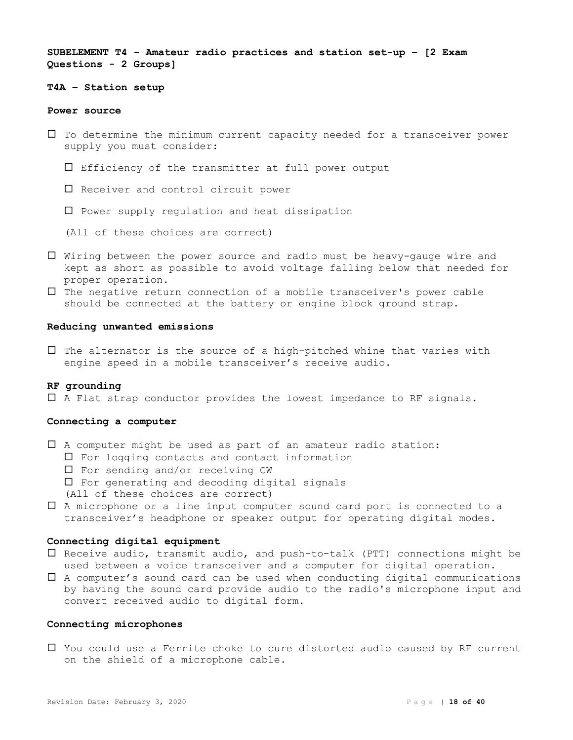**SUBELEMENT T4 - Amateur radio practices and station set-up – [2 Exam Questions - 2 Groups]**

# **T4A – Station setup**

#### **Power source**

- $\Box$  To determine the minimum current capacity needed for a transceiver power supply you must consider:
	- $\square$  Efficiency of the transmitter at full power output
	- $\square$  Receiver and control circuit power
	- $\square$  Power supply requlation and heat dissipation
	- (All of these choices are correct)
- Wiring between the power source and radio must be heavy-gauge wire and kept as short as possible to avoid voltage falling below that needed for proper operation.
- $\Box$  The negative return connection of a mobile transceiver's power cable should be connected at the battery or engine block ground strap.

#### **Reducing unwanted emissions**

 $\square$  The alternator is the source of a high-pitched whine that varies with engine speed in a mobile transceiver's receive audio.

# **RF grounding**

A Flat strap conductor provides the lowest impedance to RF signals.

# **Connecting a computer**

- $\Box$  A computer might be used as part of an amateur radio station:
	- $\Box$  For logging contacts and contact information
	- $\square$  For sending and/or receiving CW
	- $\Box$  For generating and decoding digital signals
	- (All of these choices are correct)
- A microphone or a line input computer sound card port is connected to a transceiver's headphone or speaker output for operating digital modes.

# **Connecting digital equipment**

- $\square$  Receive audio, transmit audio, and push-to-talk (PTT) connections might be used between a voice transceiver and a computer for digital operation.
- A computer's sound card can be used when conducting digital communications by having the sound card provide audio to the radio's microphone input and convert received audio to digital form.

### **Connecting microphones**

 You could use a Ferrite choke to cure distorted audio caused by RF current on the shield of a microphone cable.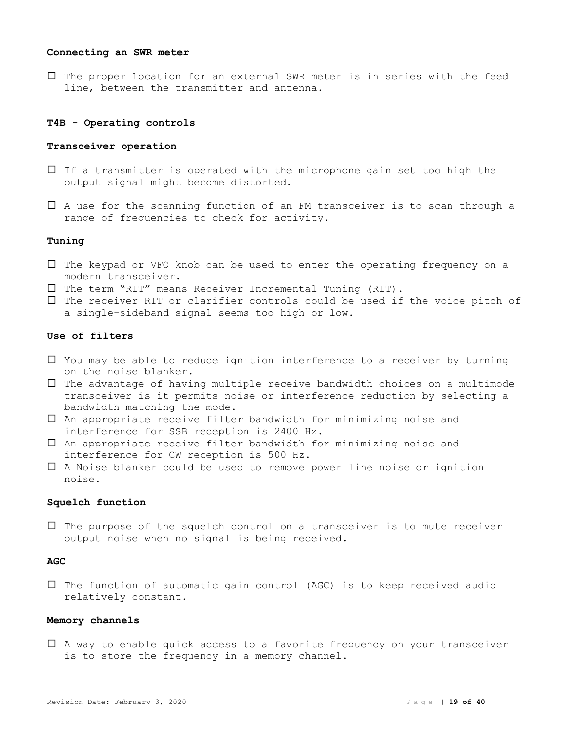#### **Connecting an SWR meter**

 $\Box$  The proper location for an external SWR meter is in series with the feed line, between the transmitter and antenna.

#### **T4B - Operating controls**

#### **Transceiver operation**

- $\Box$  If a transmitter is operated with the microphone gain set too high the output signal might become distorted.
- $\Box$  A use for the scanning function of an FM transceiver is to scan through a range of frequencies to check for activity.

#### **Tuning**

- $\Box$  The keypad or VFO knob can be used to enter the operating frequency on a modern transceiver.
- $\square$  The term "RIT" means Receiver Incremental Tuning (RIT).
- $\square$  The receiver RIT or clarifier controls could be used if the voice pitch of a single-sideband signal seems too high or low.

# **Use of filters**

- $\Box$  You may be able to reduce ignition interference to a receiver by turning on the noise blanker.
- $\Box$  The advantage of having multiple receive bandwidth choices on a multimode transceiver is it permits noise or interference reduction by selecting a bandwidth matching the mode.
- An appropriate receive filter bandwidth for minimizing noise and interference for SSB reception is 2400 Hz.
- An appropriate receive filter bandwidth for minimizing noise and interference for CW reception is 500 Hz.
- A Noise blanker could be used to remove power line noise or ignition noise.

# **Squelch function**

 $\Box$  The purpose of the squelch control on a transceiver is to mute receiver output noise when no signal is being received.

# **AGC**

 $\square$  The function of automatic gain control (AGC) is to keep received audio relatively constant.

# **Memory channels**

 A way to enable quick access to a favorite frequency on your transceiver is to store the frequency in a memory channel.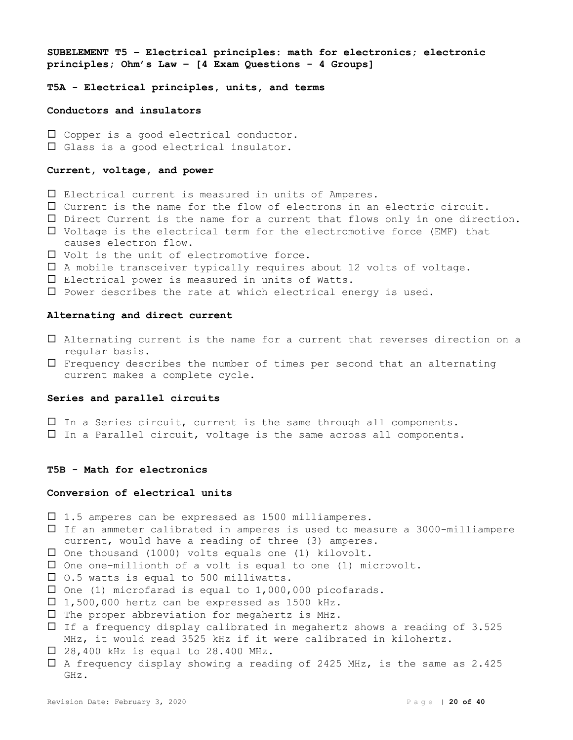**SUBELEMENT T5 – Electrical principles: math for electronics; electronic principles; Ohm's Law – [4 Exam Questions - 4 Groups]**

**T5A - Electrical principles, units, and terms**

**Conductors and insulators**

 $\Box$  Copper is a good electrical conductor. Glass is a good electrical insulator.

# **Current, voltage, and power**

- Electrical current is measured in units of Amperes.
- Current is the name for the flow of electrons in an electric circuit.
- Direct Current is the name for a current that flows only in one direction.
- $\Box$  Voltage is the electrical term for the electromotive force (EMF) that causes electron flow.
- Volt is the unit of electromotive force.
- $\square$  A mobile transceiver typically requires about 12 volts of voltage.
- Electrical power is measured in units of Watts.
- $\square$  Power describes the rate at which electrical energy is used.

#### **Alternating and direct current**

- Alternating current is the name for a current that reverses direction on a regular basis.
- $\Box$  Frequency describes the number of times per second that an alternating current makes a complete cycle.

# **Series and parallel circuits**

- In a Series circuit, current is the same through all components.
- In a Parallel circuit, voltage is the same across all components.

# **T5B - Math for electronics**

# **Conversion of electrical units**

- $\Box$  1.5 amperes can be expressed as 1500 milliamperes.
- If an ammeter calibrated in amperes is used to measure a 3000-milliampere current, would have a reading of three (3) amperes.
- $\square$  One thousand (1000) volts equals one (1) kilovolt.
- $\square$  One one-millionth of a volt is equal to one (1) microvolt.
- $\Box$  0.5 watts is equal to 500 milliwatts.
- $\square$  One (1) microfarad is equal to 1,000,000 picofarads.
- $\Box$  1,500,000 hertz can be expressed as 1500 kHz.
- $\square$  The proper abbreviation for megahertz is MHz.
- $\Box$  If a frequency display calibrated in megahertz shows a reading of 3.525 MHz, it would read 3525 kHz if it were calibrated in kilohertz.
- $\Box$  28,400 kHz is equal to 28.400 MHz.
- $\Box$  A frequency display showing a reading of 2425 MHz, is the same as 2.425 GHz.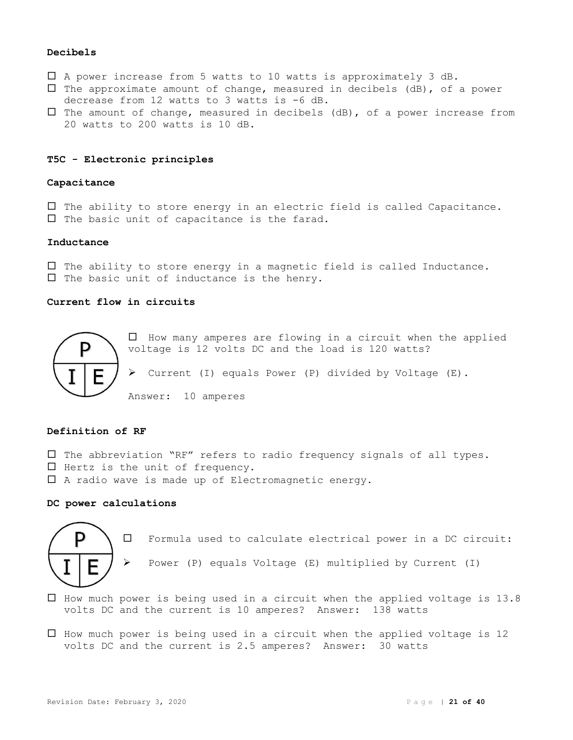# **Decibels**

- A power increase from 5 watts to 10 watts is approximately 3 dB.
- $\square$  The approximate amount of change, measured in decibels (dB), of a power decrease from 12 watts to 3 watts is -6 dB.
- $\square$  The amount of change, measured in decibels (dB), of a power increase from 20 watts to 200 watts is 10 dB.

# **T5C - Electronic principles**

#### **Capacitance**

 $\Box$  The ability to store energy in an electric field is called Capacitance.  $\Box$  The basic unit of capacitance is the farad.

# **Inductance**

 $\Box$  The ability to store energy in a magnetic field is called Inductance.  $\Box$  The basic unit of inductance is the henry.

# **Current flow in circuits**



 $\Box$  How many amperes are flowing in a circuit when the applied voltage is 12 volts DC and the load is 120 watts? ➢ Current (I) equals Power (P) divided by Voltage (E). Answer: 10 amperes

# **Definition of RF**

- $\square$  The abbreviation "RF" refers to radio frequency signals of all types.
- $\Box$  Hertz is the unit of frequency.
- $\Box$  A radio wave is made up of Electromagnetic energy.

# **DC power calculations**



Formula used to calculate electrical power in a DC circuit:

➢ Power (P) equals Voltage (E) multiplied by Current (I)

- $\Box$  How much power is being used in a circuit when the applied voltage is 13.8 volts DC and the current is 10 amperes? Answer: 138 watts
- $\Box$  How much power is being used in a circuit when the applied voltage is 12 volts DC and the current is 2.5 amperes? Answer: 30 watts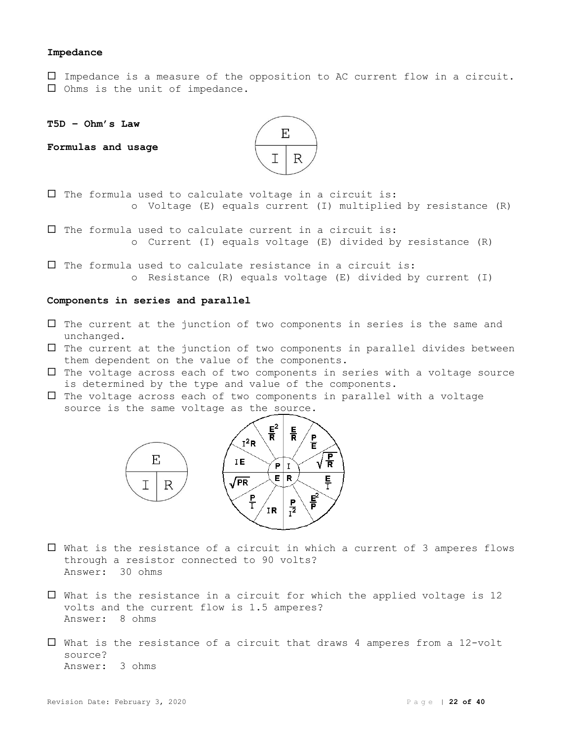#### **Impedance**

 Impedance is a measure of the opposition to AC current flow in a circuit.  $\square$  Ohms is the unit of impedance.

**T5D – Ohm's Law**

**Formulas and usage**



 $\square$  The formula used to calculate voltage in a circuit is: o Voltage (E) equals current (I) multiplied by resistance (R)

 $\square$  The formula used to calculate current in a circuit is: o Current (I) equals voltage (E) divided by resistance (R)

 $\square$  The formula used to calculate resistance in a circuit is: o Resistance (R) equals voltage (E) divided by current (I)

#### **Components in series and parallel**

- $\Box$  The current at the junction of two components in series is the same and unchanged.
- $\Box$  The current at the junction of two components in parallel divides between them dependent on the value of the components.
- $\Box$  The voltage across each of two components in series with a voltage source is determined by the type and value of the components.
- $\Box$  The voltage across each of two components in parallel with a voltage source is the same voltage as the source.



- What is the resistance of a circuit in which a current of 3 amperes flows through a resistor connected to 90 volts? Answer: 30 ohms
- $\Box$  What is the resistance in a circuit for which the applied voltage is 12 volts and the current flow is 1.5 amperes? Answer: 8 ohms
- $\Box$  What is the resistance of a circuit that draws 4 amperes from a 12-volt source? Answer: 3 ohms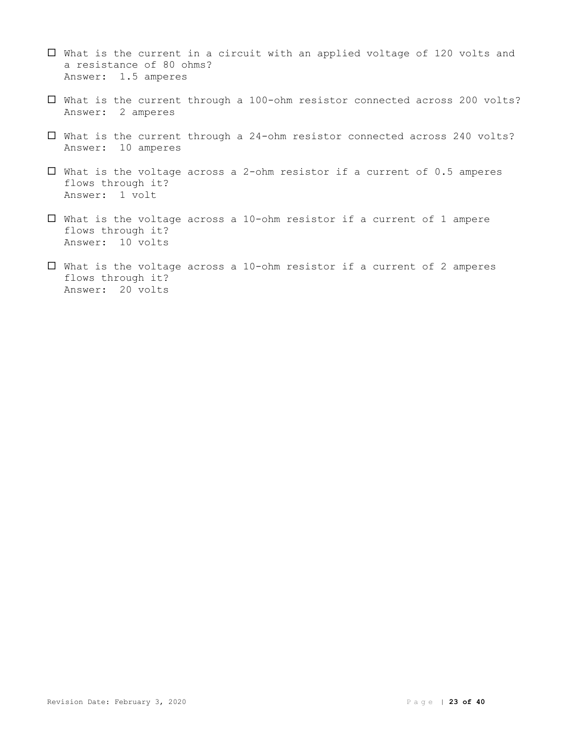- $\Box$  What is the current in a circuit with an applied voltage of 120 volts and a resistance of 80 ohms? Answer: 1.5 amperes
- What is the current through a 100-ohm resistor connected across 200 volts? Answer: 2 amperes
- What is the current through a 24-ohm resistor connected across 240 volts? Answer: 10 amperes
- $\Box$  What is the voltage across a 2-ohm resistor if a current of 0.5 amperes flows through it? Answer: 1 volt
- $\square$  What is the voltage across a 10-ohm resistor if a current of 1 ampere flows through it? Answer: 10 volts
- $\square$  What is the voltage across a 10-ohm resistor if a current of 2 amperes flows through it? Answer: 20 volts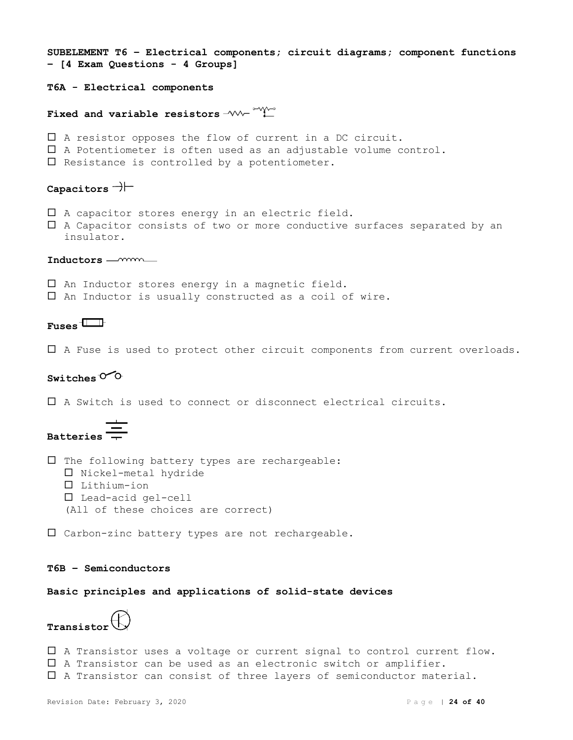```
SUBELEMENT T6 – Electrical components; circuit diagrams; component functions 
– [4 Exam Questions - 4 Groups]
T6A - Electrical components
Fixed and variable resistors -W \rightarrow W A resistor opposes the flow of current in a DC circuit.
 A Potentiometer is often used as an adjustable volume control.
\square Resistance is controlled by a potentiometer.
Capacitors
\Box A capacitor stores energy in an electric field.
 A Capacitor consists of two or more conductive surfaces separated by an 
  insulator.
Inductors
\square An Inductor stores energy in a magnetic field.
\square An Inductor is usually constructed as a coil of wire.
Fuses
 A Fuse is used to protect other circuit components from current overloads.
Switches<sup>O</sup>O
 A Switch is used to connect or disconnect electrical circuits.
Batteries
```
 $\square$  The following battery types are rechargeable:  $\square$  Nickel-metal hydride Lithium-ion Lead-acid gel-cell (All of these choices are correct)

Carbon-zinc battery types are not rechargeable.

# **T6B – Semiconductors**

**Basic principles and applications of solid-state devices**

**Transistor**

 A Transistor uses a voltage or current signal to control current flow. A Transistor can be used as an electronic switch or amplifier. A Transistor can consist of three layers of semiconductor material.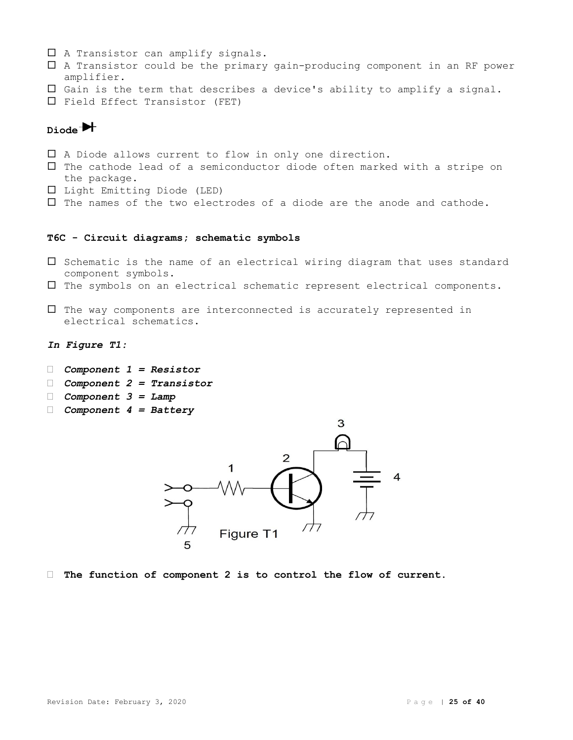- $\Box$  A Transistor can amplify signals.
- A Transistor could be the primary gain-producing component in an RF power amplifier.
- $\square$  Gain is the term that describes a device's ability to amplify a signal.
- $\square$  Field Effect Transistor (FET)

# **Diode**

- A Diode allows current to flow in only one direction.
- $\Box$  The cathode lead of a semiconductor diode often marked with a stripe on the package.
- Light Emitting Diode (LED)
- $\Box$  The names of the two electrodes of a diode are the anode and cathode.

# **T6C - Circuit diagrams; schematic symbols**

- $\square$  Schematic is the name of an electrical wiring diagram that uses standard component symbols.
- $\Box$  The symbols on an electrical schematic represent electrical components.
- $\Box$  The way components are interconnected is accurately represented in electrical schematics.
- *In Figure T1:*
- *Component 1 = Resistor*
- *Component 2 = Transistor*
- *Component 3 = Lamp*
- *Component 4 = Battery*



**The function of component 2 is to control the flow of current.**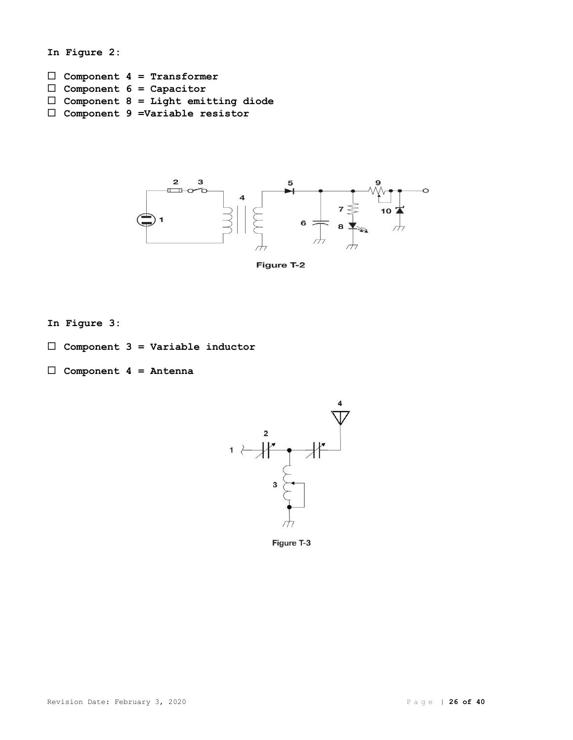```
In Figure 2:
 Component 4 = Transformer
 Component 6 = Capacitor
 Component 8 = Light emitting diode
 Component 9 =Variable resistor
```


Figure T-2

- **In Figure 3:**
- **Component 3 = Variable inductor**
- **Component 4 = Antenna**



Figure T-3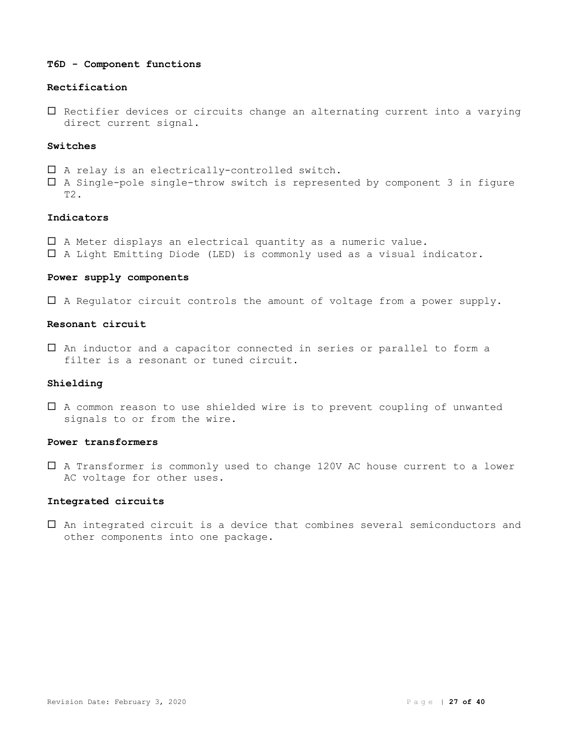#### **T6D - Component functions**

# **Rectification**

 $\square$  Rectifier devices or circuits change an alternating current into a varying direct current signal.

# **Switches**

- $\square$  A relay is an electrically-controlled switch.
- A Single-pole single-throw switch is represented by component 3 in figure T2.

# **Indicators**

- A Meter displays an electrical quantity as a numeric value.
- A Light Emitting Diode (LED) is commonly used as a visual indicator.

# **Power supply components**

A Regulator circuit controls the amount of voltage from a power supply.

# **Resonant circuit**

 An inductor and a capacitor connected in series or parallel to form a filter is a resonant or tuned circuit.

# **Shielding**

 A common reason to use shielded wire is to prevent coupling of unwanted signals to or from the wire.

# **Power transformers**

 A Transformer is commonly used to change 120V AC house current to a lower AC voltage for other uses.

# **Integrated circuits**

 An integrated circuit is a device that combines several semiconductors and other components into one package.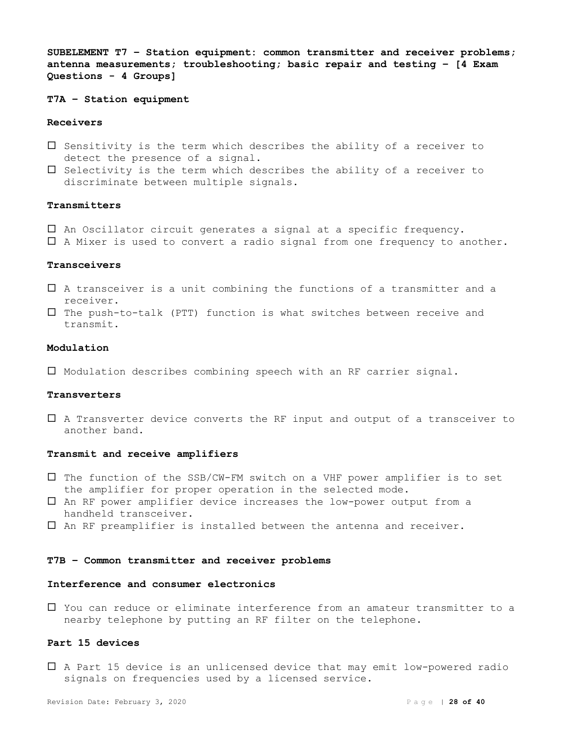**SUBELEMENT T7 – Station equipment: common transmitter and receiver problems; antenna measurements; troubleshooting; basic repair and testing – [4 Exam Questions - 4 Groups]**

**T7A – Station equipment**

#### **Receivers**

- $\square$  Sensitivity is the term which describes the ability of a receiver to detect the presence of a signal.
- $\square$  Selectivity is the term which describes the ability of a receiver to discriminate between multiple signals.

# **Transmitters**

An Oscillator circuit generates a signal at a specific frequency.

A Mixer is used to convert a radio signal from one frequency to another.

# **Transceivers**

- A transceiver is a unit combining the functions of a transmitter and a receiver.
- $\square$  The push-to-talk (PTT) function is what switches between receive and transmit.

#### **Modulation**

Modulation describes combining speech with an RF carrier signal.

# **Transverters**

 A Transverter device converts the RF input and output of a transceiver to another band.

#### **Transmit and receive amplifiers**

- $\square$  The function of the SSB/CW-FM switch on a VHF power amplifier is to set the amplifier for proper operation in the selected mode.
- An RF power amplifier device increases the low-power output from a handheld transceiver.
- $\square$  An RF preamplifier is installed between the antenna and receiver.

#### **T7B – Common transmitter and receiver problems**

#### **Interference and consumer electronics**

 You can reduce or eliminate interference from an amateur transmitter to a nearby telephone by putting an RF filter on the telephone.

# **Part 15 devices**

 A Part 15 device is an unlicensed device that may emit low-powered radio signals on frequencies used by a licensed service.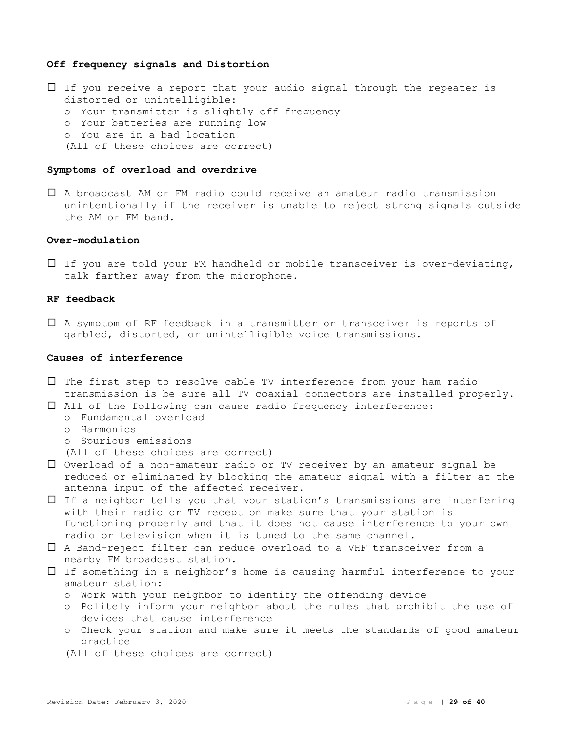#### **Off frequency signals and Distortion**

- $\Box$  If you receive a report that your audio signal through the repeater is distorted or unintelligible:
	- o Your transmitter is slightly off frequency
	- o Your batteries are running low
	- o You are in a bad location
	- (All of these choices are correct)

#### **Symptoms of overload and overdrive**

 A broadcast AM or FM radio could receive an amateur radio transmission unintentionally if the receiver is unable to reject strong signals outside the AM or FM band.

#### **Over-modulation**

 $\Box$  If you are told your FM handheld or mobile transceiver is over-deviating, talk farther away from the microphone.

# **RF feedback**

 A symptom of RF feedback in a transmitter or transceiver is reports of garbled, distorted, or unintelligible voice transmissions.

#### **Causes of interference**

 $\square$  The first step to resolve cable TV interference from your ham radio transmission is be sure all TV coaxial connectors are installed properly.

All of the following can cause radio frequency interference:

- o Fundamental overload
- o Harmonics
- o Spurious emissions

(All of these choices are correct)

- $\Box$  Overload of a non-amateur radio or TV receiver by an amateur signal be reduced or eliminated by blocking the amateur signal with a filter at the antenna input of the affected receiver.
- $\Box$  If a neighbor tells you that your station's transmissions are interfering with their radio or TV reception make sure that your station is functioning properly and that it does not cause interference to your own radio or television when it is tuned to the same channel.
- A Band-reject filter can reduce overload to a VHF transceiver from a nearby FM broadcast station.
- If something in a neighbor's home is causing harmful interference to your amateur station:
	- o Work with your neighbor to identify the offending device
	- o Politely inform your neighbor about the rules that prohibit the use of devices that cause interference
	- o Check your station and make sure it meets the standards of good amateur practice
	- (All of these choices are correct)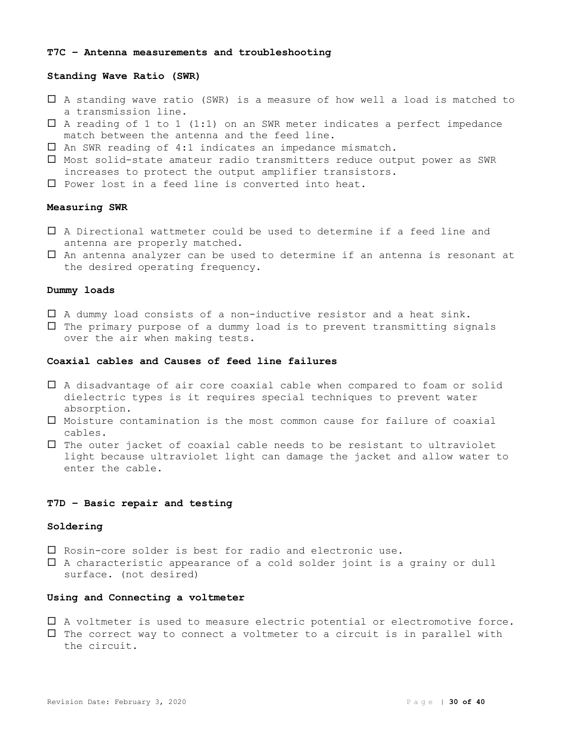# **T7C – Antenna measurements and troubleshooting**

# **Standing Wave Ratio (SWR)**

- A standing wave ratio (SWR) is a measure of how well a load is matched to a transmission line.
- $\square$  A reading of 1 to 1 (1:1) on an SWR meter indicates a perfect impedance match between the antenna and the feed line.
- $\square$  An SWR reading of 4:1 indicates an impedance mismatch.
- Most solid-state amateur radio transmitters reduce output power as SWR increases to protect the output amplifier transistors.
- $\square$  Power lost in a feed line is converted into heat.

#### **Measuring SWR**

- A Directional wattmeter could be used to determine if a feed line and antenna are properly matched.
- An antenna analyzer can be used to determine if an antenna is resonant at the desired operating frequency.

# **Dummy loads**

- $\Box$  A dummy load consists of a non-inductive resistor and a heat sink.
- $\Box$  The primary purpose of a dummy load is to prevent transmitting signals over the air when making tests.

# **Coaxial cables and Causes of feed line failures**

- A disadvantage of air core coaxial cable when compared to foam or solid dielectric types is it requires special techniques to prevent water absorption.
- Moisture contamination is the most common cause for failure of coaxial cables.
- $\Box$  The outer jacket of coaxial cable needs to be resistant to ultraviolet light because ultraviolet light can damage the jacket and allow water to enter the cable.

# **T7D – Basic repair and testing**

#### **Soldering**

- $\square$  Rosin-core solder is best for radio and electronic use.
- $\Box$  A characteristic appearance of a cold solder joint is a grainy or dull surface. (not desired)

# **Using and Connecting a voltmeter**

 A voltmeter is used to measure electric potential or electromotive force.  $\Box$  The correct way to connect a voltmeter to a circuit is in parallel with the circuit.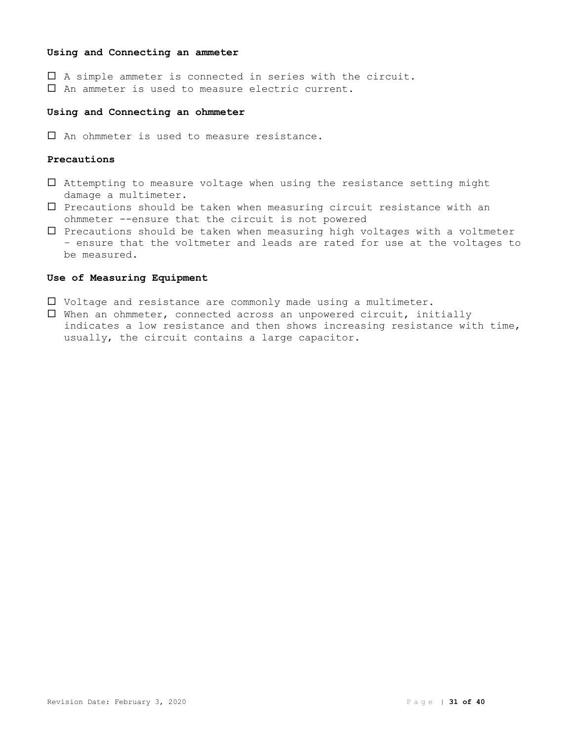# **Using and Connecting an ammeter**

 A simple ammeter is connected in series with the circuit. An ammeter is used to measure electric current.

#### **Using and Connecting an ohmmeter**

 $\Box$  An ohmmeter is used to measure resistance.

# **Precautions**

- $\square$  Attempting to measure voltage when using the resistance setting might damage a multimeter.
- $\square$  Precautions should be taken when measuring circuit resistance with an ohmmeter --ensure that the circuit is not powered
- $\square$  Precautions should be taken when measuring high voltages with a voltmeter – ensure that the voltmeter and leads are rated for use at the voltages to be measured.

### **Use of Measuring Equipment**

- $\Box$  Voltage and resistance are commonly made using a multimeter.
- When an ohmmeter, connected across an unpowered circuit, initially indicates a low resistance and then shows increasing resistance with time, usually, the circuit contains a large capacitor.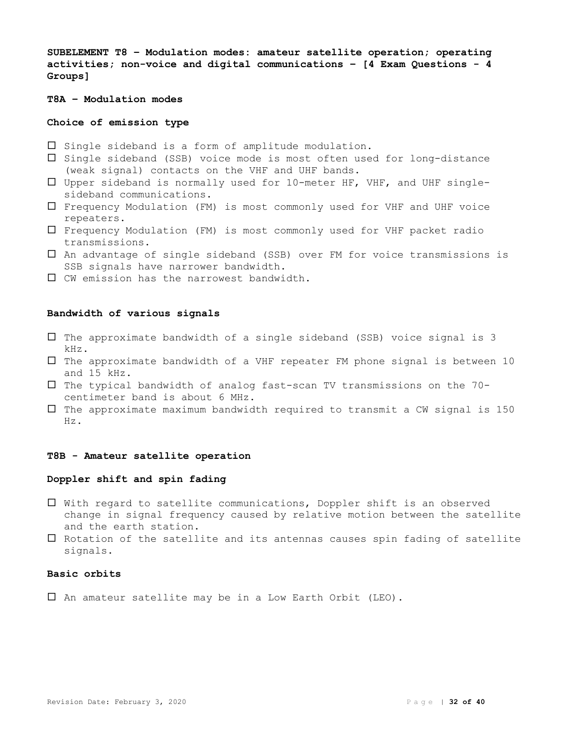**SUBELEMENT T8 – Modulation modes: amateur satellite operation; operating activities; non-voice and digital communications – [4 Exam Questions - 4 Groups]**

**T8A – Modulation modes**

# **Choice of emission type**

- $\square$  Single sideband is a form of amplitude modulation.
- $\square$  Single sideband (SSB) voice mode is most often used for long-distance (weak signal) contacts on the VHF and UHF bands.
- Upper sideband is normally used for 10-meter HF, VHF, and UHF singlesideband communications.
- Frequency Modulation (FM) is most commonly used for VHF and UHF voice repeaters.
- Frequency Modulation (FM) is most commonly used for VHF packet radio transmissions.
- An advantage of single sideband (SSB) over FM for voice transmissions is SSB signals have narrower bandwidth.
- CW emission has the narrowest bandwidth.

# **Bandwidth of various signals**

- $\square$  The approximate bandwidth of a single sideband (SSB) voice signal is 3 kHz.
- $\square$  The approximate bandwidth of a VHF repeater FM phone signal is between 10 and 15 kHz.
- $\square$  The typical bandwidth of analog fast-scan TV transmissions on the 70centimeter band is about 6 MHz.
- $\square$  The approximate maximum bandwidth required to transmit a CW signal is 150 Hz.

#### **T8B - Amateur satellite operation**

# **Doppler shift and spin fading**

- $\Box$  With regard to satellite communications, Doppler shift is an observed change in signal frequency caused by relative motion between the satellite and the earth station.
- $\Box$  Rotation of the satellite and its antennas causes spin fading of satellite signals.

# **Basic orbits**

An amateur satellite may be in a Low Earth Orbit (LEO).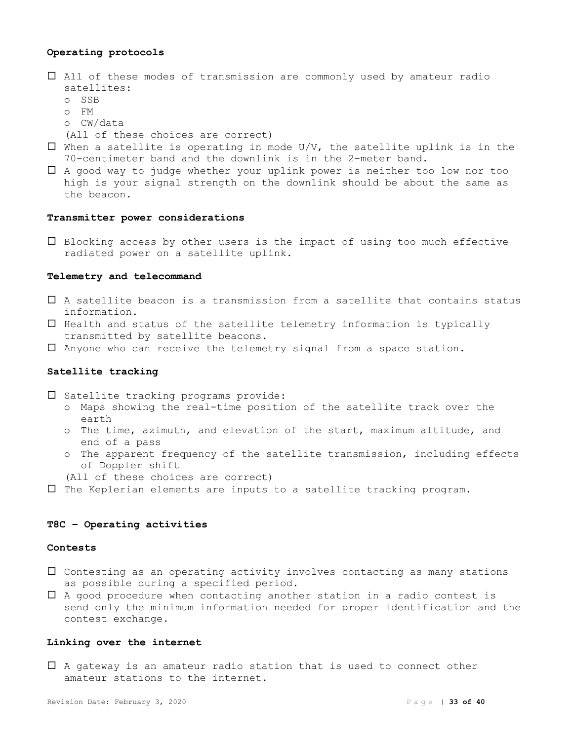# **Operating protocols**

- All of these modes of transmission are commonly used by amateur radio satellites:
	- o SSB
	- o FM
	- o CW/data

(All of these choices are correct)

- $\square$  When a satellite is operating in mode U/V, the satellite uplink is in the 70-centimeter band and the downlink is in the 2-meter band.
- A good way to judge whether your uplink power is neither too low nor too high is your signal strength on the downlink should be about the same as the beacon.

#### **Transmitter power considerations**

 $\square$  Blocking access by other users is the impact of using too much effective radiated power on a satellite uplink.

# **Telemetry and telecommand**

- A satellite beacon is a transmission from a satellite that contains status information.
- $\Box$  Health and status of the satellite telemetry information is typically transmitted by satellite beacons.
- Anyone who can receive the telemetry signal from a space station.

# **Satellite tracking**

 $\square$  Satellite tracking programs provide:

- o Maps showing the real-time position of the satellite track over the earth
- o The time, azimuth, and elevation of the start, maximum altitude, and end of a pass
- o The apparent frequency of the satellite transmission, including effects of Doppler shift
- (All of these choices are correct)
- $\square$  The Keplerian elements are inputs to a satellite tracking program.

# **T8C – Operating activities**

#### **Contests**

- $\square$  Contesting as an operating activity involves contacting as many stations as possible during a specified period.
- $\Box$  A good procedure when contacting another station in a radio contest is send only the minimum information needed for proper identification and the contest exchange.

# **Linking over the internet**

 $\Box$  A gateway is an amateur radio station that is used to connect other amateur stations to the internet.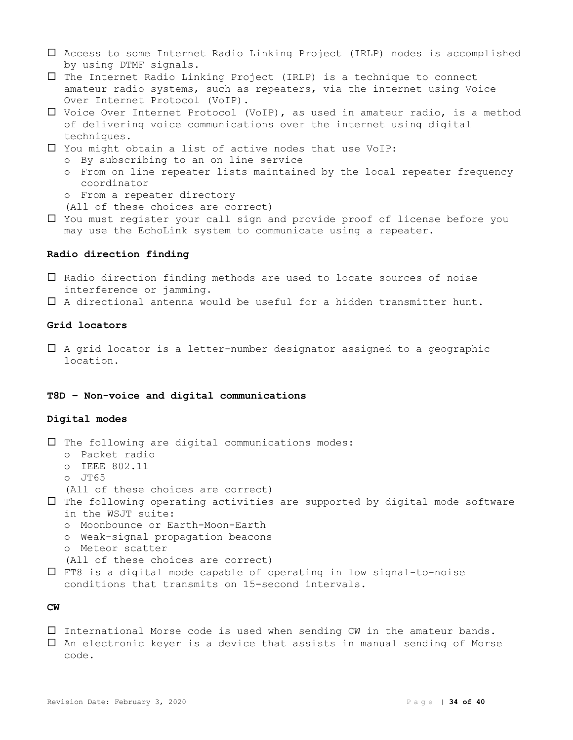- Access to some Internet Radio Linking Project (IRLP) nodes is accomplished by using DTMF signals.
- $\Box$  The Internet Radio Linking Project (IRLP) is a technique to connect amateur radio systems, such as repeaters, via the internet using Voice Over Internet Protocol (VoIP).
- Voice Over Internet Protocol (VoIP), as used in amateur radio, is a method of delivering voice communications over the internet using digital techniques.
- You might obtain a list of active nodes that use VoIP:
	- o By subscribing to an on line service
	- o From on line repeater lists maintained by the local repeater frequency coordinator
	- o From a repeater directory
	- (All of these choices are correct)
- You must register your call sign and provide proof of license before you may use the EchoLink system to communicate using a repeater.

### **Radio direction finding**

- $\Box$  Radio direction finding methods are used to locate sources of noise interference or jamming.
- A directional antenna would be useful for a hidden transmitter hunt.

# **Grid locators**

 A grid locator is a letter-number designator assigned to a geographic location.

# **T8D – Non-voice and digital communications**

# **Digital modes**

```
\Box The following are digital communications modes:
  o Packet radio
  o IEEE 802.11
  o JT65
  (All of these choices are correct)
\Box The following operating activities are supported by digital mode software
  in the WSJT suite:
  o Moonbounce or Earth-Moon-Earth
  o Weak-signal propagation beacons
  o Meteor scatter
   (All of these choices are correct)
 FT8 is a digital mode capable of operating in low signal-to-noise
```
conditions that transmits on 15-second intervals.

# **CW**

- $\square$  International Morse code is used when sending CW in the amateur bands.
- $\Box$  An electronic keyer is a device that assists in manual sending of Morse code.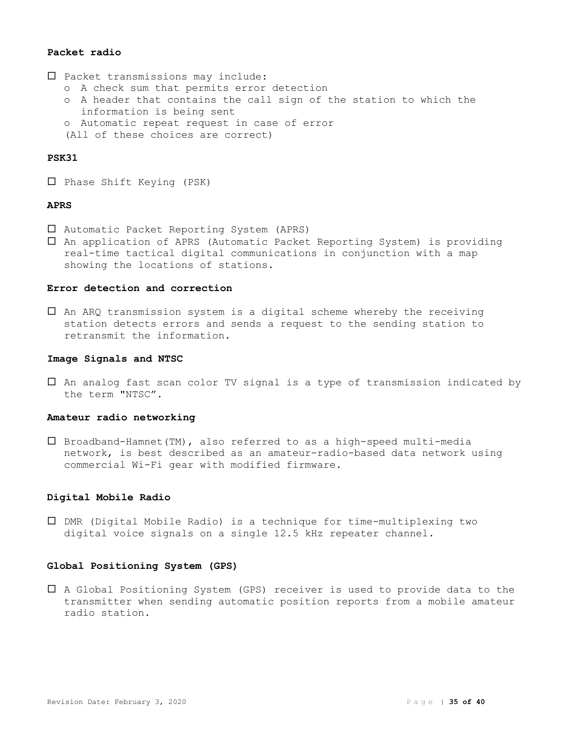# **Packet radio**

- $\square$  Packet transmissions may include:
	- o A check sum that permits error detection
	- o A header that contains the call sign of the station to which the information is being sent
	- o Automatic repeat request in case of error
	- (All of these choices are correct)

# **PSK31**

 $\Box$  Phase Shift Keying (PSK)

# **APRS**

- Automatic Packet Reporting System (APRS)
- An application of APRS (Automatic Packet Reporting System) is providing real-time tactical digital communications in conjunction with a map showing the locations of stations.

# **Error detection and correction**

 $\Box$  An ARQ transmission system is a digital scheme whereby the receiving station detects errors and sends a request to the sending station to retransmit the information.

#### **Image Signals and NTSC**

 An analog fast scan color TV signal is a type of transmission indicated by the term "NTSC".

#### **Amateur radio networking**

 $\square$  Broadband-Hamnet(TM), also referred to as a high-speed multi-media network, is best described as an amateur-radio-based data network using commercial Wi-Fi gear with modified firmware.

#### **Digital Mobile Radio**

 DMR (Digital Mobile Radio) is a technique for time-multiplexing two digital voice signals on a single 12.5 kHz repeater channel.

# **Global Positioning System (GPS)**

 A Global Positioning System (GPS) receiver is used to provide data to the transmitter when sending automatic position reports from a mobile amateur radio station.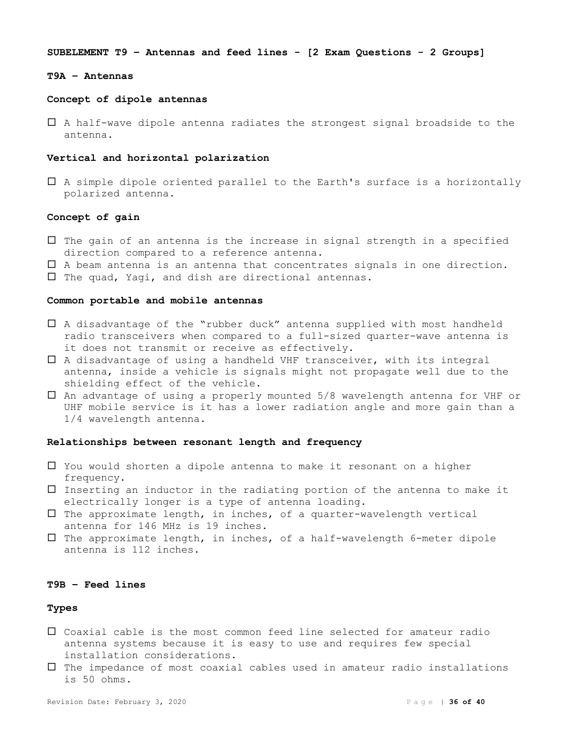**SUBELEMENT T9 – Antennas and feed lines - [2 Exam Questions - 2 Groups]**

#### **T9A – Antennas**

#### **Concept of dipole antennas**

 A half-wave dipole antenna radiates the strongest signal broadside to the antenna.

#### **Vertical and horizontal polarization**

 $\Box$  A simple dipole oriented parallel to the Earth's surface is a horizontally polarized antenna.

# **Concept of gain**

- $\Box$  The gain of an antenna is the increase in signal strength in a specified direction compared to a reference antenna.
- $\Box$  A beam antenna is an antenna that concentrates signals in one direction.
- $\square$  The quad, Yagi, and dish are directional antennas.

#### **Common portable and mobile antennas**

- A disadvantage of the "rubber duck" antenna supplied with most handheld radio transceivers when compared to a full-sized quarter-wave antenna is it does not transmit or receive as effectively.
- $\square$  A disadvantage of using a handheld VHF transceiver, with its integral antenna, inside a vehicle is signals might not propagate well due to the shielding effect of the vehicle.
- $\square$  An advantage of using a properly mounted  $5/8$  wavelength antenna for VHF or UHF mobile service is it has a lower radiation angle and more gain than a 1/4 wavelength antenna.

# **Relationships between resonant length and frequency**

- $\Box$  You would shorten a dipole antenna to make it resonant on a higher frequency.
- $\Box$  Inserting an inductor in the radiating portion of the antenna to make it electrically longer is a type of antenna loading.
- $\square$  The approximate length, in inches, of a quarter-wavelength vertical antenna for 146 MHz is 19 inches.
- $\square$  The approximate length, in inches, of a half-wavelength 6-meter dipole antenna is 112 inches.

# **T9B – Feed lines**

#### **Types**

- Coaxial cable is the most common feed line selected for amateur radio antenna systems because it is easy to use and requires few special installation considerations.
- $\Box$  The impedance of most coaxial cables used in amateur radio installations is 50 ohms.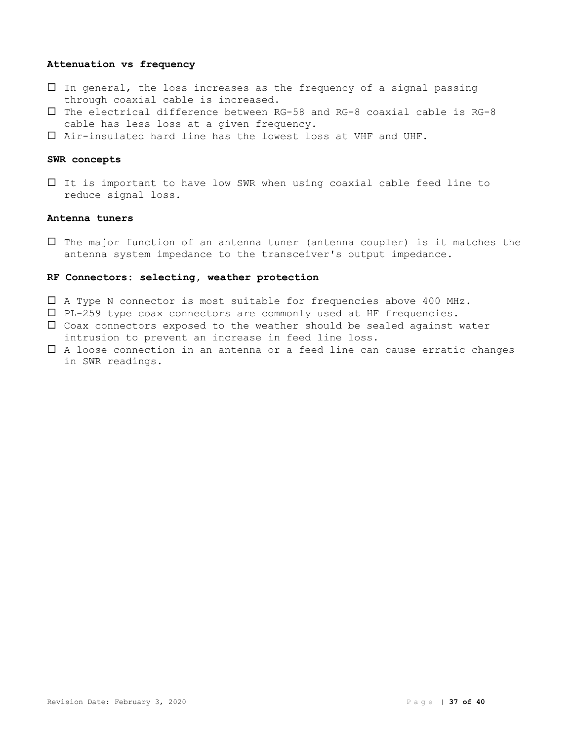# **Attenuation vs frequency**

- $\Box$  In general, the loss increases as the frequency of a signal passing through coaxial cable is increased.
- $\square$  The electrical difference between RG-58 and RG-8 coaxial cable is RG-8 cable has less loss at a given frequency.
- Air-insulated hard line has the lowest loss at VHF and UHF.

# **SWR concepts**

 $\Box$  It is important to have low SWR when using coaxial cable feed line to reduce signal loss.

# **Antenna tuners**

 $\Box$  The major function of an antenna tuner (antenna coupler) is it matches the antenna system impedance to the transceiver's output impedance.

# **RF Connectors: selecting, weather protection**

- A Type N connector is most suitable for frequencies above 400 MHz.
- PL-259 type coax connectors are commonly used at HF frequencies.
- $\square$  Coax connectors exposed to the weather should be sealed against water intrusion to prevent an increase in feed line loss.
- A loose connection in an antenna or a feed line can cause erratic changes in SWR readings.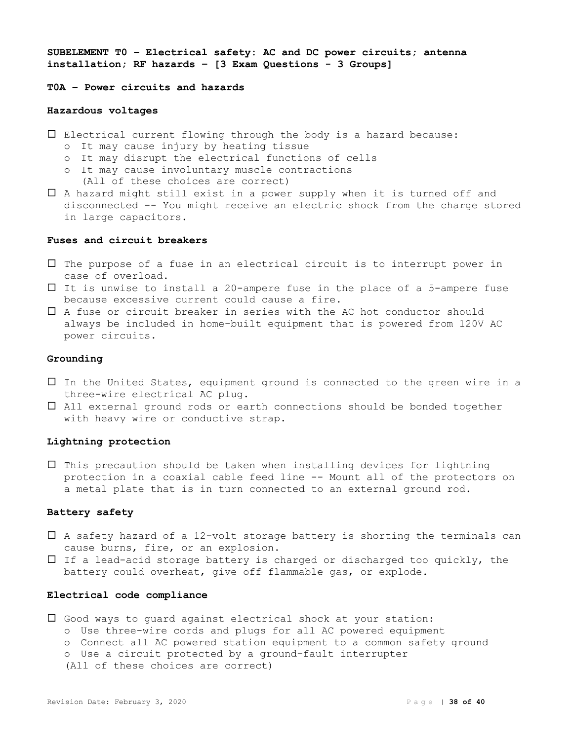**SUBELEMENT T0 – Electrical safety: AC and DC power circuits; antenna installation; RF hazards – [3 Exam Questions - 3 Groups]**

# **T0A – Power circuits and hazards**

# **Hazardous voltages**

- Electrical current flowing through the body is a hazard because:
	- o It may cause injury by heating tissue
	- o It may disrupt the electrical functions of cells
	- o It may cause involuntary muscle contractions (All of these choices are correct)
- A hazard might still exist in a power supply when it is turned off and disconnected -- You might receive an electric shock from the charge stored in large capacitors.

# **Fuses and circuit breakers**

- $\Box$  The purpose of a fuse in an electrical circuit is to interrupt power in case of overload.
- $\Box$  It is unwise to install a 20-ampere fuse in the place of a 5-ampere fuse because excessive current could cause a fire.
- A fuse or circuit breaker in series with the AC hot conductor should always be included in home-built equipment that is powered from 120V AC power circuits.

# **Grounding**

- $\Box$  In the United States, equipment ground is connected to the green wire in a three-wire electrical AC plug.
- All external ground rods or earth connections should be bonded together with heavy wire or conductive strap.

# **Lightning protection**

 $\Box$  This precaution should be taken when installing devices for lightning protection in a coaxial cable feed line -- Mount all of the protectors on a metal plate that is in turn connected to an external ground rod.

# **Battery safety**

- $\Box$  A safety hazard of a 12-volt storage battery is shorting the terminals can cause burns, fire, or an explosion.
- $\Box$  If a lead-acid storage battery is charged or discharged too quickly, the battery could overheat, give off flammable gas, or explode.

#### **Electrical code compliance**

- Good ways to guard against electrical shock at your station:
	- o Use three-wire cords and plugs for all AC powered equipment
	- o Connect all AC powered station equipment to a common safety ground
	- o Use a circuit protected by a ground-fault interrupter

(All of these choices are correct)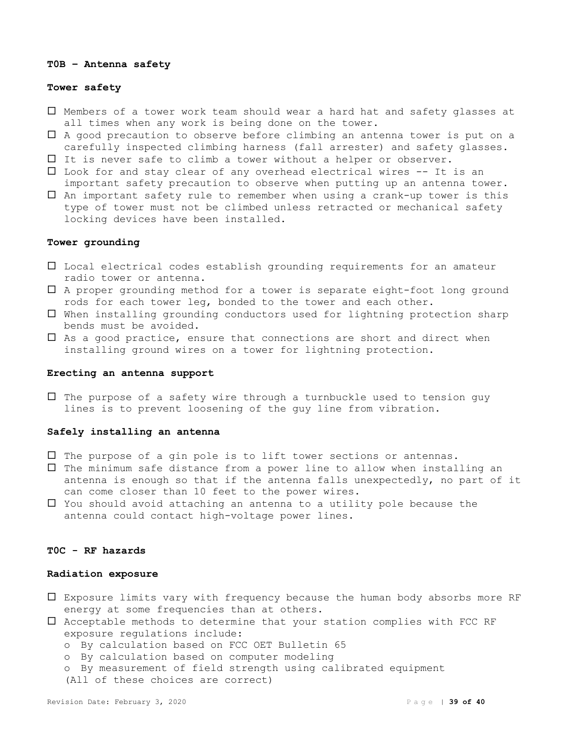#### **T0B – Antenna safety**

# **Tower safety**

- Members of a tower work team should wear a hard hat and safety glasses at all times when any work is being done on the tower.
- A good precaution to observe before climbing an antenna tower is put on a carefully inspected climbing harness (fall arrester) and safety glasses.
- It is never safe to climb a tower without a helper or observer.
- Look for and stay clear of any overhead electrical wires -- It is an important safety precaution to observe when putting up an antenna tower.
- $\Box$  An important safety rule to remember when using a crank-up tower is this type of tower must not be climbed unless retracted or mechanical safety locking devices have been installed.

# **Tower grounding**

- $\square$  Local electrical codes establish grounding requirements for an amateur radio tower or antenna.
- A proper grounding method for a tower is separate eight-foot long ground rods for each tower leg, bonded to the tower and each other.
- When installing grounding conductors used for lightning protection sharp bends must be avoided.
- $\Box$  As a good practice, ensure that connections are short and direct when installing ground wires on a tower for lightning protection.

#### **Erecting an antenna support**

 $\Box$  The purpose of a safety wire through a turnbuckle used to tension guy lines is to prevent loosening of the guy line from vibration.

# **Safely installing an antenna**

- $\Box$  The purpose of a gin pole is to lift tower sections or antennas.
- $\Box$  The minimum safe distance from a power line to allow when installing an antenna is enough so that if the antenna falls unexpectedly, no part of it can come closer than 10 feet to the power wires.
- $\Box$  You should avoid attaching an antenna to a utility pole because the antenna could contact high-voltage power lines.

# **T0C - RF hazards**

#### **Radiation exposure**

- Exposure limits vary with frequency because the human body absorbs more RF energy at some frequencies than at others.
- $\square$  Acceptable methods to determine that your station complies with FCC RF exposure regulations include:
	- o By calculation based on FCC OET Bulletin 65
	- o By calculation based on computer modeling
	- o By measurement of field strength using calibrated equipment

(All of these choices are correct)